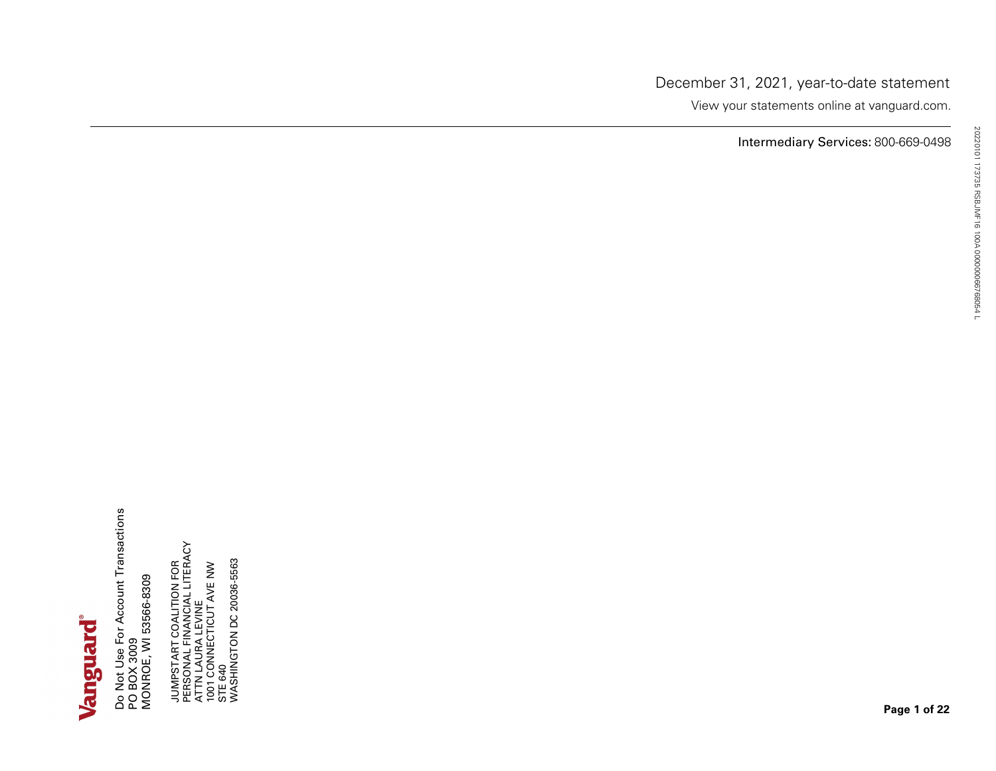**Page 1 of <sup>22</sup>** JUMPSTART COALITION FOR PERSONAL FINANCIAL LITERACY ATTN LAURA LEVINE 1001 CONNECTICUT AVE NW STE 640 WASHINGTON DC 20036-5563 20220101 173735 RSBJMF16 100A <sup>000000066768054</sup> <sup>L</sup> Do Not Use For Account Transactions PO BOX 3009 MONROE, WI 53566-8309

December 31, 2021, year-to-date statement View your statements online at vanguard.com.

Intermediary Services: 800-669-0498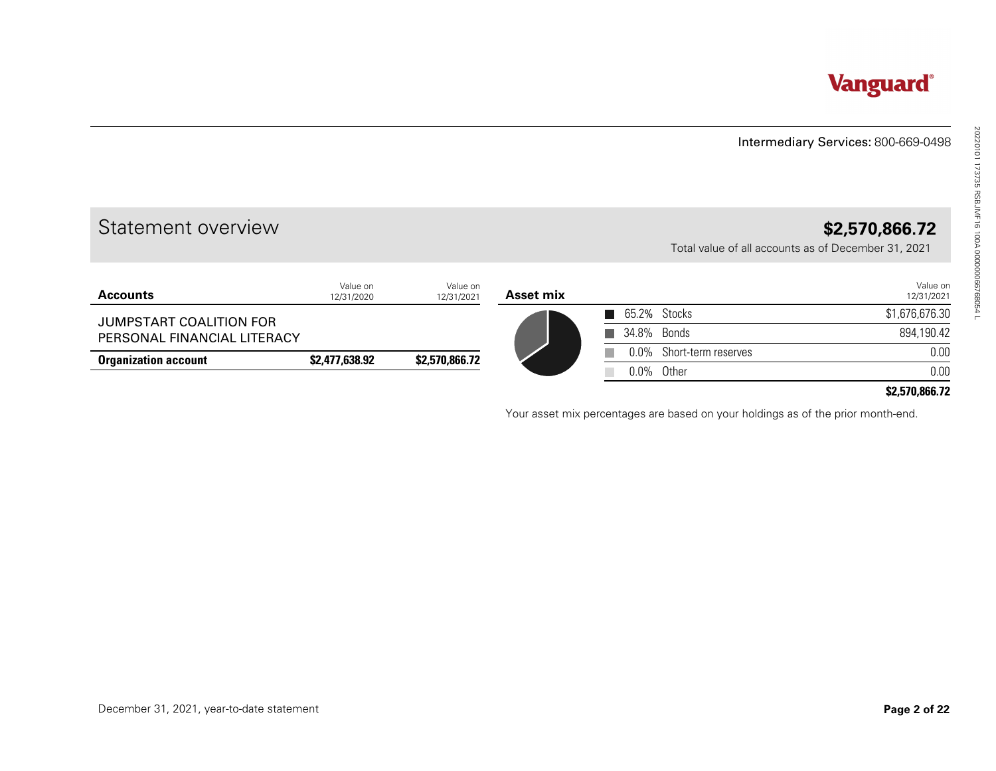#### Intermediary Services: 800-669-0498

# Statement overview **\$2,570,866.72**

|                             |                        |                        |           |              |                                                                                  | Intermediary Services: 800-669-0498 |
|-----------------------------|------------------------|------------------------|-----------|--------------|----------------------------------------------------------------------------------|-------------------------------------|
| Statement overview          |                        |                        |           |              | Total value of all accounts as of December 31, 2021                              | \$2,570,866.72                      |
| <b>Accounts</b>             | Value on<br>12/31/2020 | Value on<br>12/31/2021 | Asset mix |              |                                                                                  | Value on<br>12/31/2021              |
| JUMPSTART COALITION FOR     |                        |                        |           | 65.2% Stocks |                                                                                  | \$1,676,676.30                      |
| PERSONAL FINANCIAL LITERACY |                        |                        |           |              | 34.8% Bonds                                                                      | 894,190.42                          |
| <b>Organization account</b> | \$2,477,638.92         | \$2,570,866.72         |           | $0.0\%$      | Short-term reserves                                                              | 0.00                                |
|                             |                        |                        |           |              | 0.0% Other                                                                       | 0.00                                |
|                             |                        |                        |           |              | Your asset mix percentages are based on your holdings as of the prior month-end. |                                     |
|                             |                        |                        |           |              |                                                                                  |                                     |
|                             |                        |                        |           |              |                                                                                  |                                     |
|                             |                        |                        |           |              |                                                                                  |                                     |
|                             |                        |                        |           |              |                                                                                  |                                     |
|                             |                        |                        |           |              |                                                                                  |                                     |
|                             |                        |                        |           |              |                                                                                  |                                     |
|                             |                        |                        |           |              |                                                                                  |                                     |
|                             |                        |                        |           |              |                                                                                  |                                     |

#### **\$2,570,866.72**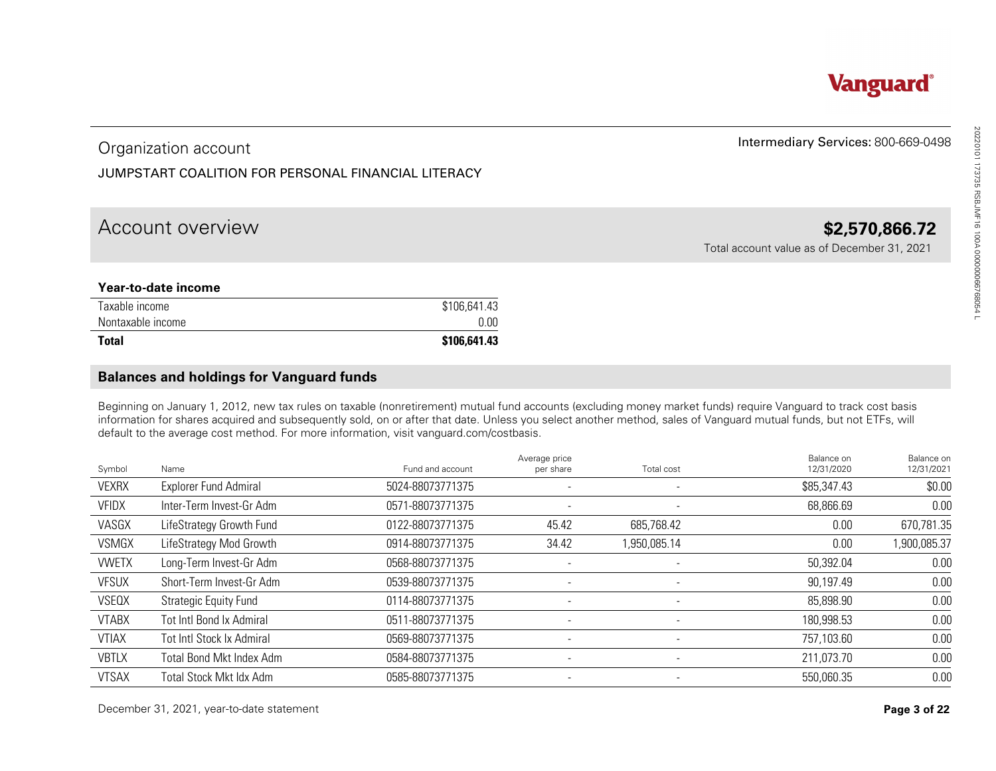## Organization account

#### JUMPSTART COALITION FOR PERSONAL FINANCIAL LITERACY

### Account overview **\$2,570,866.72**

#### **Year-to-date income**

| Taxable income    | \$106,641.43 |
|-------------------|--------------|
| Nontaxable income | 0.00         |
| <b>Total</b>      | \$106,641.43 |

#### **Balances and holdings for Vanguard funds**

|                                                                                                                                                | Organization account                                                                                                                                                                                                                                                                                                                                                                                                             |                  |                            |                          | Intermediary Services: 800-669-0498         |                                      |
|------------------------------------------------------------------------------------------------------------------------------------------------|----------------------------------------------------------------------------------------------------------------------------------------------------------------------------------------------------------------------------------------------------------------------------------------------------------------------------------------------------------------------------------------------------------------------------------|------------------|----------------------------|--------------------------|---------------------------------------------|--------------------------------------|
|                                                                                                                                                | JUMPSTART COALITION FOR PERSONAL FINANCIAL LITERACY                                                                                                                                                                                                                                                                                                                                                                              |                  |                            |                          |                                             |                                      |
|                                                                                                                                                |                                                                                                                                                                                                                                                                                                                                                                                                                                  |                  |                            |                          |                                             |                                      |
|                                                                                                                                                | Account overview                                                                                                                                                                                                                                                                                                                                                                                                                 |                  |                            |                          |                                             | \$2,570,866.72                       |
|                                                                                                                                                |                                                                                                                                                                                                                                                                                                                                                                                                                                  |                  |                            |                          | Total account value as of December 31, 2021 |                                      |
|                                                                                                                                                | Year-to-date income                                                                                                                                                                                                                                                                                                                                                                                                              |                  |                            |                          |                                             |                                      |
| Taxable income                                                                                                                                 |                                                                                                                                                                                                                                                                                                                                                                                                                                  | \$106,641.43     |                            |                          |                                             |                                      |
| Nontaxable income                                                                                                                              |                                                                                                                                                                                                                                                                                                                                                                                                                                  | 0.00             |                            |                          |                                             |                                      |
| <b>Total</b>                                                                                                                                   |                                                                                                                                                                                                                                                                                                                                                                                                                                  | \$106,641.43     |                            |                          |                                             |                                      |
|                                                                                                                                                | <b>Balances and holdings for Vanguard funds</b>                                                                                                                                                                                                                                                                                                                                                                                  |                  |                            |                          |                                             |                                      |
|                                                                                                                                                |                                                                                                                                                                                                                                                                                                                                                                                                                                  |                  |                            |                          |                                             |                                      |
|                                                                                                                                                |                                                                                                                                                                                                                                                                                                                                                                                                                                  |                  |                            |                          |                                             |                                      |
|                                                                                                                                                | Beginning on January 1, 2012, new tax rules on taxable (nonretirement) mutual fund accounts (excluding money market funds) require Vanguard to track cost basis<br>information for shares acquired and subsequently sold, on or after that date. Unless you select another method, sales of Vanguard mutual funds, but not ETFs, will<br>default to the average cost method. For more information, visit vanguard.com/costbasis. |                  |                            |                          |                                             |                                      |
| Symbol                                                                                                                                         | Name                                                                                                                                                                                                                                                                                                                                                                                                                             | Fund and account | Average price<br>per share | Total cost               | Balance on<br>12/31/2020                    | 12/31/2021                           |
|                                                                                                                                                | <b>Explorer Fund Admiral</b>                                                                                                                                                                                                                                                                                                                                                                                                     | 5024-88073771375 |                            |                          | \$85,347.43                                 | Balance on<br>\$0.00                 |
|                                                                                                                                                | Inter-Term Invest-Gr Adm                                                                                                                                                                                                                                                                                                                                                                                                         | 0571-88073771375 |                            |                          | 68,866.69                                   | 0.00                                 |
|                                                                                                                                                | LifeStrategy Growth Fund                                                                                                                                                                                                                                                                                                                                                                                                         | 0122-88073771375 | 45.42                      | 685,768.42               | 0.00                                        |                                      |
|                                                                                                                                                | LifeStrategy Mod Growth                                                                                                                                                                                                                                                                                                                                                                                                          | 0914-88073771375 | 34.42                      | 1,950,085.14             | 0.00                                        | 670,781.35<br>1,900,085.37           |
|                                                                                                                                                | Long-Term Invest-Gr Adm                                                                                                                                                                                                                                                                                                                                                                                                          | 0568-88073771375 | $\sim$                     |                          | 50,392.04                                   | 0.00                                 |
|                                                                                                                                                | Short-Term Invest-Gr Adm                                                                                                                                                                                                                                                                                                                                                                                                         | 0539-88073771375 |                            |                          | 90,197.49                                   |                                      |
|                                                                                                                                                | <b>Strategic Equity Fund</b>                                                                                                                                                                                                                                                                                                                                                                                                     | 0114-88073771375 | $\overline{\phantom{a}}$   | $\overline{\phantom{a}}$ | 85,898.90                                   |                                      |
|                                                                                                                                                | Tot Intl Bond Ix Admiral                                                                                                                                                                                                                                                                                                                                                                                                         | 0511-88073771375 |                            |                          | 180,998.53                                  |                                      |
|                                                                                                                                                | <b>Tot Intl Stock Ix Admiral</b>                                                                                                                                                                                                                                                                                                                                                                                                 | 0569-88073771375 |                            | $\sim$                   | 757,103.60                                  |                                      |
| <b>VEXRX</b><br><b>VFIDX</b><br>VASGX<br><b>VSMGX</b><br><b>VWETX</b><br><b>VFSUX</b><br>VSEQX<br><b>VTABX</b><br><b>VTIAX</b><br><b>VBTLX</b> | <b>Total Bond Mkt Index Adm</b>                                                                                                                                                                                                                                                                                                                                                                                                  | 0584-88073771375 |                            |                          | 211,073.70                                  | 0.00<br>0.00<br>0.00<br>0.00<br>0.00 |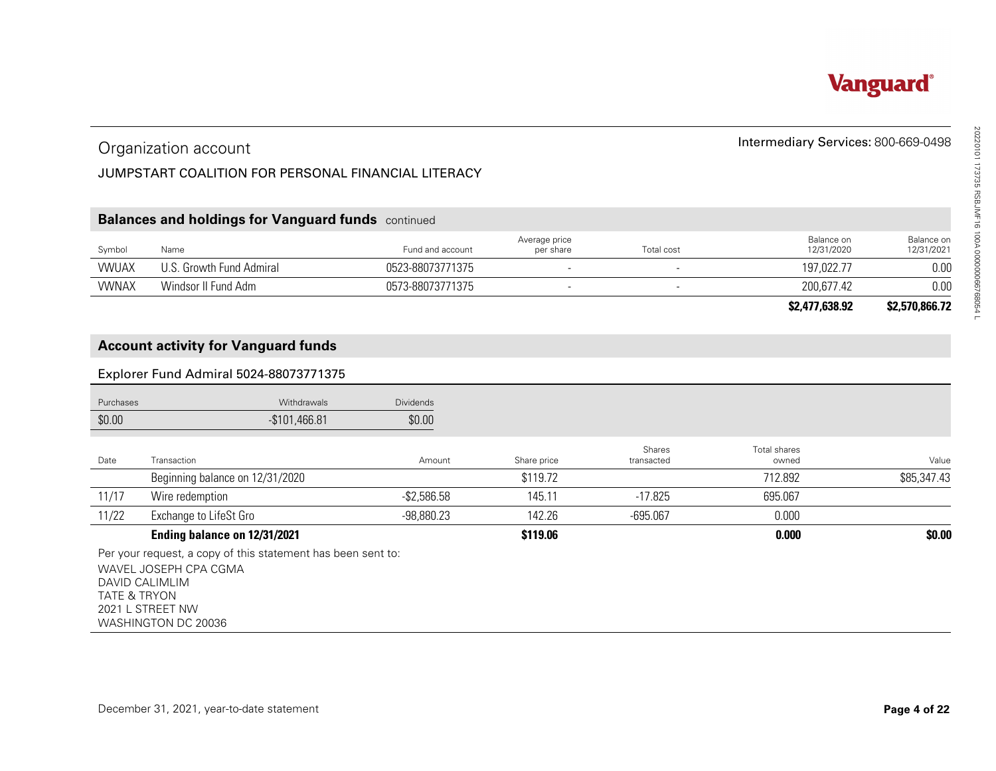#### JUMPSTART COALITION FOR PERSONAL FINANCIAL LITERACY

#### **Balances and holdings for Vanguard funds** continued

| Symbol       | Name                  | Fund and account | Average price<br>per share | Total cost | Balance on<br>12/31/2020 | Balance on<br>12/31/2021 |
|--------------|-----------------------|------------------|----------------------------|------------|--------------------------|--------------------------|
| <b>VWUAX</b> | . Growth Fund Admiral | 0523-88073771375 |                            |            | 197,022.77               | 0.00                     |
| <b>VWNAX</b> | Windsor II Fund Adm   | 0573-88073771375 |                            |            | 200,677.42               | 0.00                     |
|              |                       |                  |                            |            |                          |                          |

#### **Account activity for Vanguard funds**

#### Explorer Fund Admiral 5024-88073771375

|                         | Organization account                                                                                                                               |                  |                            |                      | Intermediary Services: 800-669-0498 |                          |
|-------------------------|----------------------------------------------------------------------------------------------------------------------------------------------------|------------------|----------------------------|----------------------|-------------------------------------|--------------------------|
|                         | JUMPSTART COALITION FOR PERSONAL FINANCIAL LITERACY                                                                                                |                  |                            |                      |                                     |                          |
|                         |                                                                                                                                                    |                  |                            |                      |                                     |                          |
|                         | <b>Balances and holdings for Vanguard funds</b> continued                                                                                          |                  |                            |                      |                                     |                          |
| Symbol                  | Name                                                                                                                                               | Fund and account | Average price<br>per share | Total cost           | Balance on<br>12/31/2020            | Balance on<br>12/31/2021 |
| <b>VWUAX</b>            | U.S. Growth Fund Admiral                                                                                                                           | 0523-88073771375 | ÷,                         | ÷,                   | 197,022.77                          | 0.00                     |
| <b>VWNAX</b>            | Windsor II Fund Adm                                                                                                                                | 0573-88073771375 |                            |                      | 200,677.42                          | 0.00                     |
|                         |                                                                                                                                                    |                  |                            |                      | \$2,477,638.92                      | \$2,570,866.72           |
|                         | <b>Account activity for Vanguard funds</b>                                                                                                         |                  |                            |                      |                                     |                          |
|                         | Explorer Fund Admiral 5024-88073771375                                                                                                             |                  |                            |                      |                                     |                          |
| Purchases               | Withdrawals                                                                                                                                        | <b>Dividends</b> |                            |                      |                                     |                          |
| \$0.00                  | $-$101,466.81$                                                                                                                                     | \$0.00           |                            |                      |                                     |                          |
| Date                    | Transaction                                                                                                                                        | Amount           | Share price                | Shares<br>transacted | Total shares<br>owned               | Value                    |
|                         | Beginning balance on 12/31/2020                                                                                                                    |                  | \$119.72                   |                      | 712.892                             | \$85,347.43              |
| 11/17                   | Wire redemption                                                                                                                                    | $-$ \$2,586.58   | 145.11                     | $-17.825$            | 695.067                             |                          |
| 11/22                   | Exchange to LifeSt Gro                                                                                                                             | $-98,880.23$     | 142.26                     | $-695.067$           | 0.000                               |                          |
|                         | Ending balance on 12/31/2021                                                                                                                       |                  | \$119.06                   |                      | 0.000                               | \$0.00                   |
| <b>TATE &amp; TRYON</b> | Per your request, a copy of this statement has been sent to:<br>WAVEL JOSEPH CPA CGMA<br>DAVID CALIMLIM<br>2021 L STREET NW<br>WASHINGTON DC 20036 |                  |                            |                      |                                     |                          |



#### Intermediary Services: 800-669-0498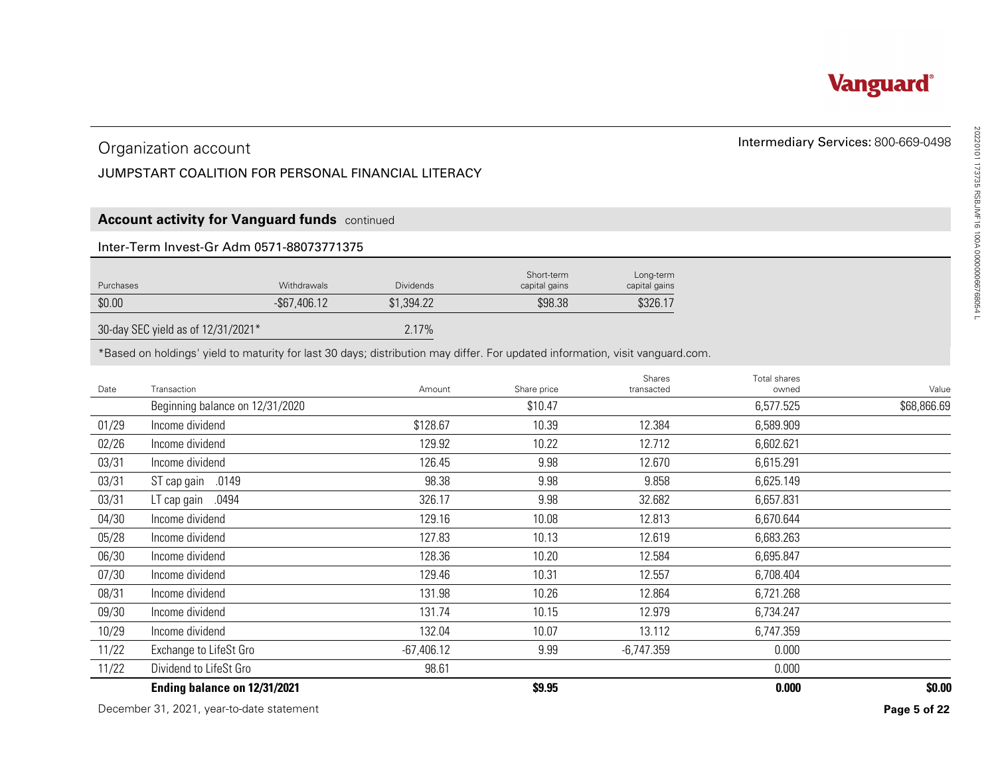

#### JUMPSTART COALITION FOR PERSONAL FINANCIAL LITERACY

#### **Account activity for Vanguard funds** continued

#### Inter-Term Invest-Gr Adm 0571-88073771375

| Purchases | <b>Withdrawals</b> | <b>Dividends</b> | Short-term<br>capital gains | Long-term<br>capital gains |
|-----------|--------------------|------------------|-----------------------------|----------------------------|
| \$0.00    | $-$ \$67,406.12    | \$1,394.22       | \$98.38                     | \$326.17                   |
|           |                    | $-1$             |                             |                            |

#### 30-day SEC yield as of 12/31/2021\* 2.17%

|           | Organization account                                                                                                          |              |                             |                            | Intermediary Services: 800-669-0498 |              |
|-----------|-------------------------------------------------------------------------------------------------------------------------------|--------------|-----------------------------|----------------------------|-------------------------------------|--------------|
|           | JUMPSTART COALITION FOR PERSONAL FINANCIAL LITERACY                                                                           |              |                             |                            |                                     |              |
|           |                                                                                                                               |              |                             |                            |                                     |              |
|           |                                                                                                                               |              |                             |                            |                                     |              |
|           | <b>Account activity for Vanguard funds</b> continued                                                                          |              |                             |                            |                                     |              |
|           | Inter-Term Invest-Gr Adm 0571-88073771375                                                                                     |              |                             |                            |                                     |              |
| Purchases | Withdrawals                                                                                                                   | Dividends    | Short-term<br>capital gains | Long-term<br>capital gains |                                     |              |
| \$0.00    | $-$ \$67,406.12                                                                                                               | \$1,394.22   | \$98.38                     | \$326.17                   |                                     |              |
|           | 30-day SEC yield as of 12/31/2021*                                                                                            | 2.17%        |                             |                            |                                     |              |
|           | *Based on holdings' yield to maturity for last 30 days; distribution may differ. For updated information, visit vanguard.com. |              |                             |                            |                                     |              |
|           |                                                                                                                               |              |                             |                            |                                     |              |
| Date      | Transaction                                                                                                                   | Amount       | Share price                 | Shares<br>transacted       | Total shares<br>owned               | Value        |
|           | Beginning balance on 12/31/2020                                                                                               |              | \$10.47                     |                            | 6,577.525                           | \$68,866.69  |
| 01/29     | Income dividend                                                                                                               | \$128.67     | 10.39                       | 12.384                     | 6,589.909                           |              |
| 02/26     | Income dividend                                                                                                               | 129.92       | 10.22                       | 12.712                     | 6,602.621                           |              |
| 03/31     | Income dividend                                                                                                               | 126.45       | 9.98                        | 12.670                     | 6,615.291                           |              |
| 03/31     | ST cap gain .0149                                                                                                             | 98.38        | 9.98                        | 9.858                      | 6,625.149                           |              |
| 03/31     | LT cap gain .0494                                                                                                             | 326.17       | 9.98                        | 32.682                     | 6,657.831                           |              |
| 04/30     | Income dividend                                                                                                               | 129.16       | 10.08                       | 12.813                     | 6,670.644                           |              |
| 05/28     | Income dividend                                                                                                               | 127.83       | 10.13                       | 12.619                     | 6,683.263                           |              |
| 06/30     | Income dividend                                                                                                               | 128.36       | 10.20                       | 12.584                     | 6,695.847                           |              |
| 07/30     | Income dividend                                                                                                               | 129.46       | 10.31                       | 12.557                     | 6,708.404                           |              |
| 08/31     | Income dividend                                                                                                               | 131.98       | 10.26                       | 12.864                     | 6,721.268                           |              |
| 09/30     | Income dividend                                                                                                               | 131.74       | 10.15                       | 12.979                     | 6,734.247                           |              |
| 10/29     | Income dividend                                                                                                               | 132.04       | 10.07                       | 13.112                     | 6,747.359                           |              |
| 11/22     | Exchange to LifeSt Gro                                                                                                        | $-67,406.12$ | 9.99                        | $-6,747.359$               | 0.000                               |              |
| 11/22     | Dividend to LifeSt Gro                                                                                                        | 98.61        |                             |                            | 0.000                               |              |
|           | Ending balance on 12/31/2021                                                                                                  |              | \$9.95                      |                            | 0.000                               | \$0.00       |
|           | December 31, 2021, year-to-date statement                                                                                     |              |                             |                            |                                     | Page 5 of 22 |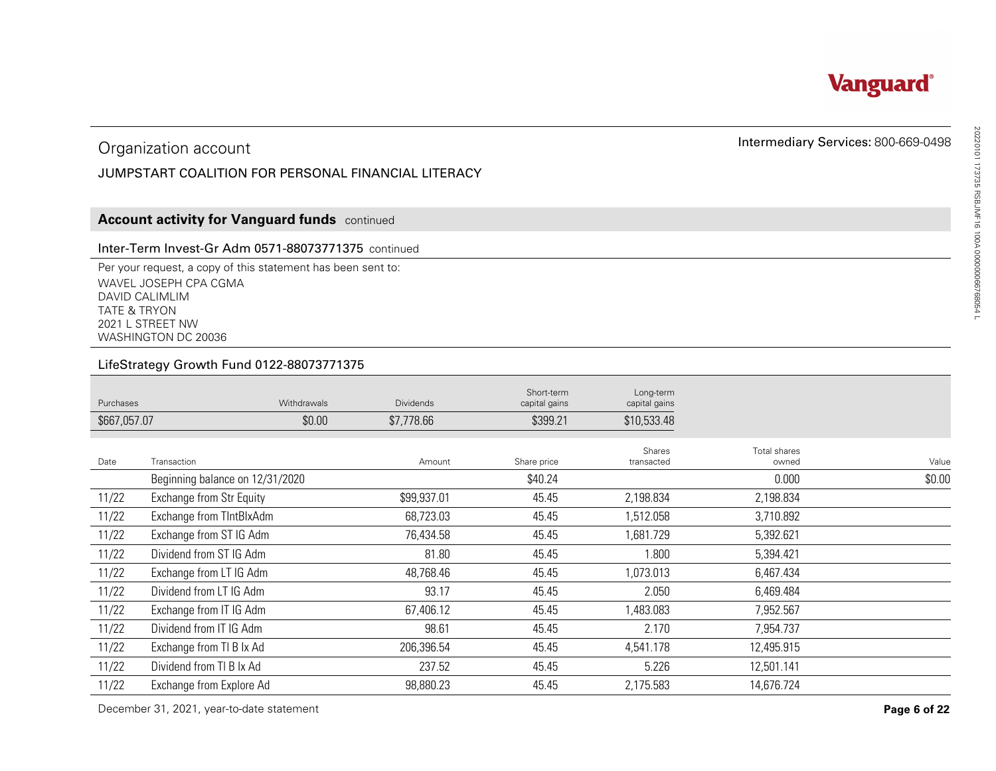

#### JUMPSTART COALITION FOR PERSONAL FINANCIAL LITERACY

#### **Account activity for Vanguard funds** continued

#### Inter-Term Invest-Gr Adm 0571-88073771375 continued

#### LifeStrategy Growth Fund 0122-88073771375

|                         | Organization account                                                                                                                               |             |                                                     |                             |                            | Intermediary Services: 800-669-0498 |              |
|-------------------------|----------------------------------------------------------------------------------------------------------------------------------------------------|-------------|-----------------------------------------------------|-----------------------------|----------------------------|-------------------------------------|--------------|
|                         |                                                                                                                                                    |             | JUMPSTART COALITION FOR PERSONAL FINANCIAL LITERACY |                             |                            |                                     |              |
|                         |                                                                                                                                                    |             |                                                     |                             |                            |                                     |              |
|                         | <b>Account activity for Vanguard funds</b> continued                                                                                               |             |                                                     |                             |                            |                                     |              |
|                         | Inter-Term Invest-Gr Adm 0571-88073771375 continued                                                                                                |             |                                                     |                             |                            |                                     |              |
| <b>TATE &amp; TRYON</b> | Per your request, a copy of this statement has been sent to:<br>WAVEL JOSEPH CPA CGMA<br>DAVID CALIMLIM<br>2021 L STREET NW<br>WASHINGTON DC 20036 |             |                                                     |                             |                            |                                     |              |
|                         | LifeStrategy Growth Fund 0122-88073771375                                                                                                          |             |                                                     |                             |                            |                                     |              |
| Purchases               |                                                                                                                                                    | Withdrawals | <b>Dividends</b>                                    | Short-term<br>capital gains | Long-term<br>capital gains |                                     |              |
| \$667,057.07            |                                                                                                                                                    | \$0.00      | \$7,778.66                                          | \$399.21                    | \$10,533.48                |                                     |              |
| Date                    | Transaction                                                                                                                                        |             | Amount                                              | Share price                 | Shares<br>transacted       | Total shares<br>owned               | Value        |
|                         | Beginning balance on 12/31/2020                                                                                                                    |             |                                                     | \$40.24                     |                            | 0.000                               | \$0.00       |
| 11/22                   | Exchange from Str Equity                                                                                                                           |             | \$99,937.01                                         | 45.45                       | 2,198.834                  | 2,198.834                           |              |
| 11/22                   | Exchange from TIntBlxAdm                                                                                                                           |             | 68,723.03                                           | 45.45                       | 1,512.058                  | 3,710.892                           |              |
| 11/22                   | Exchange from ST IG Adm                                                                                                                            |             | 76,434.58                                           | 45.45                       | 1,681.729                  | 5,392.621                           |              |
| 11/22                   | Dividend from ST IG Adm                                                                                                                            |             | 81.80                                               | 45.45                       | 1.800                      | 5,394.421                           |              |
| 11/22                   | Exchange from LT IG Adm                                                                                                                            |             | 48,768.46                                           | 45.45                       | 1,073.013                  | 6,467.434                           |              |
| 11/22                   | Dividend from LT IG Adm                                                                                                                            |             | 93.17                                               | 45.45                       | 2.050                      | 6,469.484                           |              |
| 11/22                   | Exchange from IT IG Adm                                                                                                                            |             | 67,406.12                                           | 45.45                       | 1,483.083                  | 7,952.567                           |              |
| 11/22                   | Dividend from IT IG Adm                                                                                                                            |             | 98.61                                               | 45.45                       | 2.170                      | 7,954.737                           |              |
| 11/22                   | Exchange from TI B Ix Ad                                                                                                                           |             | 206,396.54                                          | 45.45                       | 4,541.178                  | 12,495.915                          |              |
| 11/22                   | Dividend from TI B Ix Ad                                                                                                                           |             | 237.52                                              | 45.45                       | 5.226                      | 12,501.141                          |              |
| 11/22                   | Exchange from Explore Ad                                                                                                                           |             | 98,880.23                                           | 45.45                       | 2,175.583                  | 14,676.724                          |              |
|                         | December 31, 2021, year-to-date statement                                                                                                          |             |                                                     |                             |                            |                                     | Page 6 of 22 |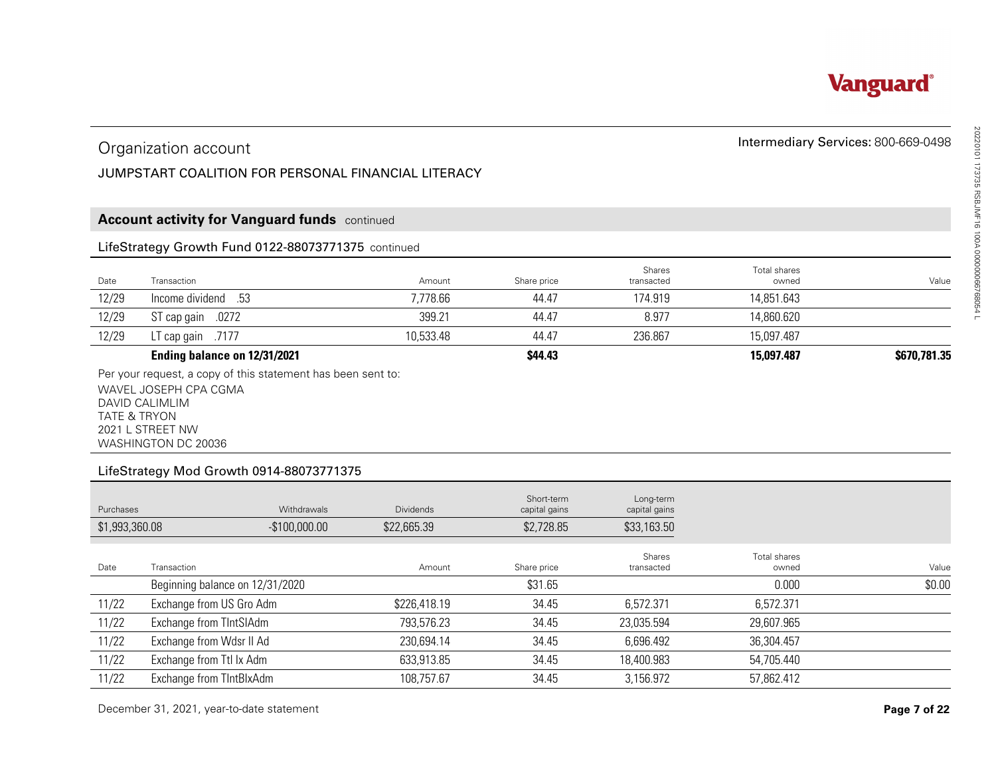

#### JUMPSTART COALITION FOR PERSONAL FINANCIAL LITERACY

#### **Account activity for Vanguard funds** continued

#### LifeStrategy Growth Fund 0122-88073771375 continued

|       | Organization account<br>JUMPSTART COALITION FOR PERSONAL FINANCIAL LITERACY |           |             |                      | Intermediary Services: 800-669-0498 |              |
|-------|-----------------------------------------------------------------------------|-----------|-------------|----------------------|-------------------------------------|--------------|
|       | <b>Account activity for Vanguard funds</b> continued                        |           |             |                      |                                     |              |
|       | LifeStrategy Growth Fund 0122-88073771375 continued                         |           |             |                      |                                     |              |
| Date  | Transaction                                                                 | Amount    | Share price | Shares<br>transacted | Total shares<br>owned               | Value        |
| 12/29 | lncome dividend 53                                                          | 7,778.66  | 44.47       | 174.919              | 14,851.643                          |              |
| 12/29 | ST cap gain .0272                                                           | 399.21    | 44.47       | 8.977                | 14,860.620                          |              |
| 12/29 | LT cap gain $.7177$                                                         | 10,533.48 | 44.47       | 236.867              | 15,097.487                          |              |
|       | Ending balance on 12/31/2021                                                |           | \$44.43     |                      | 15,097.487                          | \$670,781.35 |

#### LifeStrategy Mod Growth 0914-88073771375

|                | Organization account                                                                |              | Intermediary Services: 800-669-0498 |                            |                              |              |
|----------------|-------------------------------------------------------------------------------------|--------------|-------------------------------------|----------------------------|------------------------------|--------------|
|                | JUMPSTART COALITION FOR PERSONAL FINANCIAL LITERACY                                 |              |                                     |                            |                              |              |
|                |                                                                                     |              |                                     |                            |                              |              |
|                | <b>Account activity for Vanguard funds</b> continued                                |              |                                     |                            |                              |              |
|                | LifeStrategy Growth Fund 0122-88073771375 continued                                 |              |                                     |                            |                              |              |
| Date           | Transaction                                                                         | Amount       | Share price                         | Shares<br>transacted       | <b>Total shares</b><br>owned | Value        |
| 12/29          | .53<br>Income dividend                                                              | 7,778.66     | 44.47                               | 174.919                    | 14,851.643                   |              |
| 12/29          | ST cap gain .0272                                                                   | 399.21       | 44.47                               | 8.977                      | 14,860.620                   |              |
| 12/29          | LT cap gain .7177                                                                   | 10,533.48    | 44.47                               | 236.867                    | 15,097.487                   |              |
|                | Ending balance on 12/31/2021                                                        |              | \$44.43                             |                            | 15,097.487                   | \$670,781.35 |
|                | 2021 L STREET NW<br>WASHINGTON DC 20036<br>LifeStrategy Mod Growth 0914-88073771375 |              |                                     |                            |                              |              |
| Purchases      | Withdrawals                                                                         | Dividends    | Short-term<br>capital gains         | Long-term<br>capital gains |                              |              |
| \$1,993,360.08 | $-$100,000.00$                                                                      | \$22,665.39  | \$2,728.85                          | \$33,163.50                |                              |              |
| Date           | Transaction                                                                         | Amount       | Share price                         | Shares<br>transacted       | Total shares<br>owned        | Value        |
|                | Beginning balance on 12/31/2020                                                     |              | \$31.65                             |                            | 0.000                        | \$0.00       |
| 11/22          | Exchange from US Gro Adm                                                            | \$226,418.19 | 34.45                               | 6,572.371                  | 6,572.371                    |              |
| 11/22          | Exchange from TIntSIAdm                                                             | 793,576.23   | 34.45                               | 23,035.594                 | 29,607.965                   |              |
| 11/22          | Exchange from Wdsr II Ad                                                            | 230,694.14   | 34.45                               | 6,696.492                  | 36,304.457                   |              |
| 11/22          | Exchange from Ttl Ix Adm                                                            | 633,913.85   | 34.45                               | 18,400.983                 | 54,705.440                   |              |
| 11/22          | Exchange from TIntBlxAdm                                                            | 108,757.67   | 34.45                               | 3,156.972                  | 57,862.412                   |              |
|                | December 31, 2021, year-to-date statement                                           |              |                                     |                            |                              | Page 7 of 22 |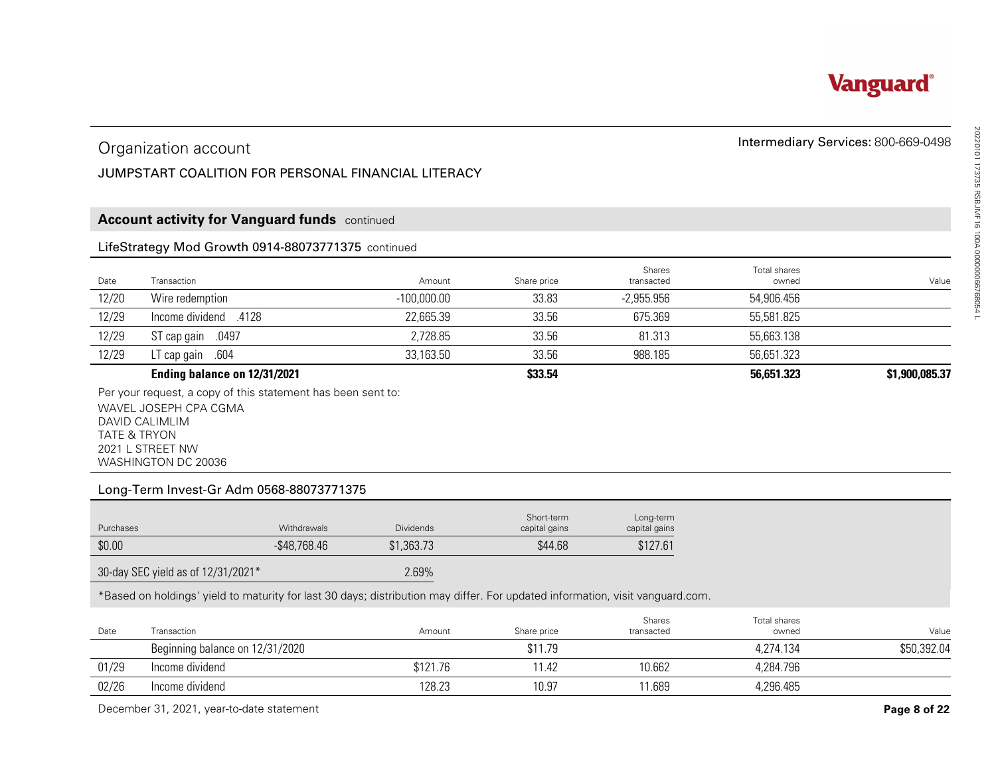

#### Organization account

#### JUMPSTART COALITION FOR PERSONAL FINANCIAL LITERACY

#### **Account activity for Vanguard funds** continued

#### LifeStrategy Mod Growth 0914-88073771375 continued

|                                                                    | Organization account                                                                                                          |                  |                  |                           |                        | Intermediary Services: 800-669-0498 |  |  |
|--------------------------------------------------------------------|-------------------------------------------------------------------------------------------------------------------------------|------------------|------------------|---------------------------|------------------------|-------------------------------------|--|--|
|                                                                    | JUMPSTART COALITION FOR PERSONAL FINANCIAL LITERACY                                                                           |                  |                  |                           |                        |                                     |  |  |
|                                                                    |                                                                                                                               |                  |                  |                           |                        |                                     |  |  |
|                                                                    | <b>Account activity for Vanguard funds</b> continued                                                                          |                  |                  |                           |                        |                                     |  |  |
|                                                                    | LifeStrategy Mod Growth 0914-88073771375 continued                                                                            |                  |                  |                           |                        |                                     |  |  |
| Transaction<br>Date                                                |                                                                                                                               | Amount           | Share price      | Shares<br>transacted      | Total shares<br>owned  | Value                               |  |  |
| 12/20<br>Wire redemption                                           |                                                                                                                               | $-100,000.00$    | 33.83            | $-2,955.956$              | 54,906.456             |                                     |  |  |
| lncome dividend .4128<br>12/29                                     |                                                                                                                               | 22,665.39        | 33.56            | 675.369                   | 55,581.825             |                                     |  |  |
| ST cap gain<br>12/29                                               | .0497                                                                                                                         | 2,728.85         | 33.56            | 81.313                    | 55,663.138             |                                     |  |  |
| LT cap gain<br>12/29                                               | .604                                                                                                                          | 33,163.50        | 33.56            | 988.185                   | 56,651.323             |                                     |  |  |
|                                                                    | Ending balance on 12/31/2021                                                                                                  |                  | \$33.54          |                           | 56,651.323             | \$1,900,085.37                      |  |  |
| <b>TATE &amp; TRYON</b><br>2021 L STREET NW<br>WASHINGTON DC 20036 | Long-Term Invest-Gr Adm 0568-88073771375                                                                                      |                  |                  |                           |                        |                                     |  |  |
|                                                                    |                                                                                                                               |                  |                  |                           |                        |                                     |  |  |
|                                                                    |                                                                                                                               |                  | Short-term       | Long-term                 |                        |                                     |  |  |
| Purchases                                                          | Withdrawals                                                                                                                   | <b>Dividends</b> | capital gains    |                           |                        |                                     |  |  |
| \$0.00                                                             | $-$ \$48,768.46                                                                                                               | \$1,363.73       | \$44.68          | capital gains<br>\$127.61 |                        |                                     |  |  |
| 30-day SEC yield as of 12/31/2021*                                 |                                                                                                                               | 2.69%            |                  |                           |                        |                                     |  |  |
|                                                                    | *Based on holdings' yield to maturity for last 30 days; distribution may differ. For updated information, visit vanguard.com. |                  |                  |                           |                        |                                     |  |  |
|                                                                    |                                                                                                                               |                  |                  | Shares                    | Total shares           |                                     |  |  |
| Date<br>Transaction                                                |                                                                                                                               | Amount           | Share price      | transacted                | owned                  |                                     |  |  |
| Income dividend                                                    | Beginning balance on 12/31/2020                                                                                               | \$121.76         | \$11.79<br>11.42 | 10.662                    | 4,274.134              | Value<br>\$50,392.04                |  |  |
| 01/29<br>02/26<br>Income dividend                                  |                                                                                                                               | 128.23           | 10.97            | 11.689                    | 4,284.796<br>4,296.485 |                                     |  |  |

#### **Ending balance on 12/31/2021 \$33.54 56,651.323 \$1,900,085.37**

#### Long-Term Invest-Gr Adm 0568-88073771375

| Purchases | <b>Withdrawals</b> | <b>Dividends</b> | Short-term<br>capital gains | Long-term<br>capital gains |
|-----------|--------------------|------------------|-----------------------------|----------------------------|
| \$0.00    | $-$ \$48,768.46    | \$1,363.73       | \$44.68                     | \$127.61                   |

| Date  | Transaction                     | Amount   | Share price | Shares<br>transacted | Total shares<br>owned | Value       |
|-------|---------------------------------|----------|-------------|----------------------|-----------------------|-------------|
|       | Beginning balance on 12/31/2020 |          | \$11.79     |                      | 4.274.134             | \$50,392.04 |
| 01/29 | Income dividend                 | \$121.76 | 1.42        | 10.662               | 4,284.796             |             |
| 02/26 | Income dividend                 | 128.23   | 10.97       | 1.689                | 4,296.485             |             |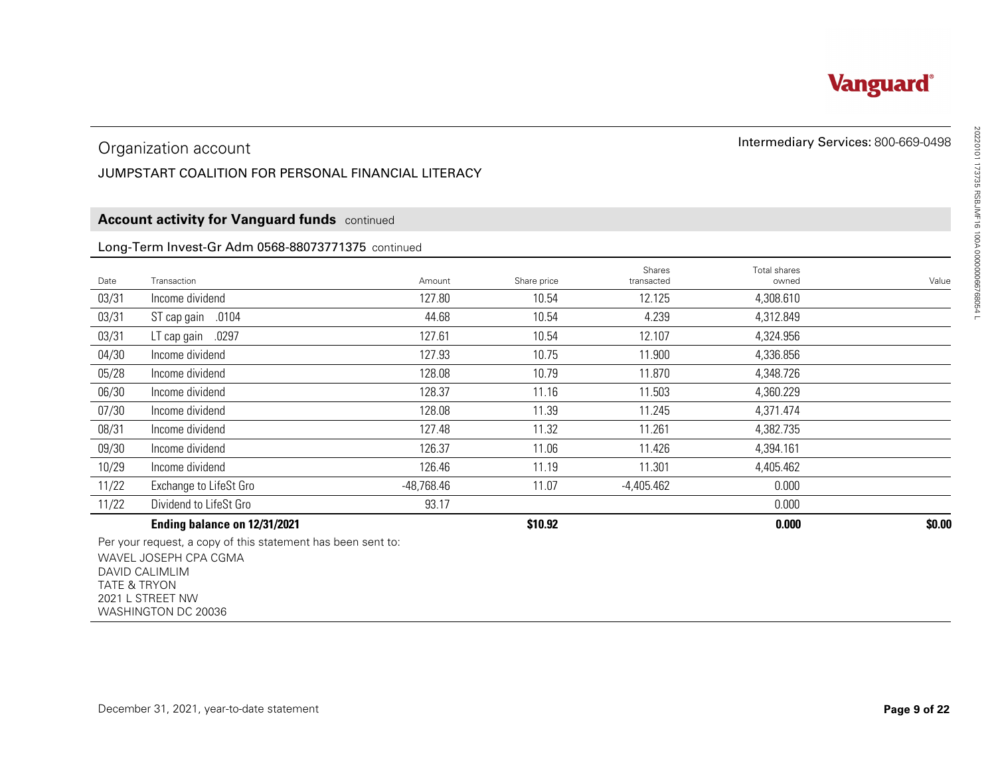#### JUMPSTART COALITION FOR PERSONAL FINANCIAL LITERACY

#### **Account activity for Vanguard funds** continued

#### Long-Term Invest-Gr Adm 0568-88073771375 continued

|                         | Organization account                                                                                                                               |              |             |                      | Intermediary Services: 800-669-0498 |        |
|-------------------------|----------------------------------------------------------------------------------------------------------------------------------------------------|--------------|-------------|----------------------|-------------------------------------|--------|
|                         | JUMPSTART COALITION FOR PERSONAL FINANCIAL LITERACY                                                                                                |              |             |                      |                                     |        |
|                         |                                                                                                                                                    |              |             |                      |                                     |        |
|                         | <b>Account activity for Vanguard funds</b> continued                                                                                               |              |             |                      |                                     |        |
|                         | Long-Term Invest-Gr Adm 0568-88073771375 continued                                                                                                 |              |             |                      |                                     |        |
| Date                    | Transaction                                                                                                                                        | Amount       | Share price | Shares<br>transacted | Total shares<br>owned               | Value  |
| 03/31                   | Income dividend                                                                                                                                    | 127.80       | 10.54       | 12.125               | 4,308.610                           |        |
| 03/31                   | ST cap gain .0104                                                                                                                                  | 44.68        | 10.54       | 4.239                | 4,312.849                           |        |
| 03/31                   | LT cap gain .0297                                                                                                                                  | 127.61       | 10.54       | 12.107               | 4,324.956                           |        |
| 04/30                   | Income dividend                                                                                                                                    | 127.93       | 10.75       | 11.900               | 4,336.856                           |        |
| 05/28                   | Income dividend                                                                                                                                    | 128.08       | 10.79       | 11.870               | 4,348.726                           |        |
| 06/30                   | Income dividend                                                                                                                                    | 128.37       | 11.16       | 11.503               | 4,360.229                           |        |
| 07/30                   | Income dividend                                                                                                                                    | 128.08       | 11.39       | 11.245               | 4,371.474                           |        |
| 08/31                   | Income dividend                                                                                                                                    | 127.48       | 11.32       | 11.261               | 4,382.735                           |        |
| 09/30                   | Income dividend                                                                                                                                    | 126.37       | 11.06       | 11.426               | 4,394.161                           |        |
| 10/29                   | Income dividend                                                                                                                                    | 126.46       | 11.19       | 11.301               | 4,405.462                           |        |
| 11/22                   | Exchange to LifeSt Gro                                                                                                                             | $-48,768.46$ | 11.07       | $-4,405.462$         | 0.000                               |        |
| 11/22                   | Dividend to LifeSt Gro                                                                                                                             | 93.17        |             |                      | 0.000                               |        |
|                         | Ending balance on 12/31/2021                                                                                                                       |              | \$10.92     |                      | 0.000                               | \$0.00 |
| <b>TATE &amp; TRYON</b> | Per your request, a copy of this statement has been sent to:<br>WAVEL JOSEPH CPA CGMA<br>DAVID CALIMLIM<br>2021 L STREET NW<br>WASHINGTON DC 20036 |              |             |                      |                                     |        |

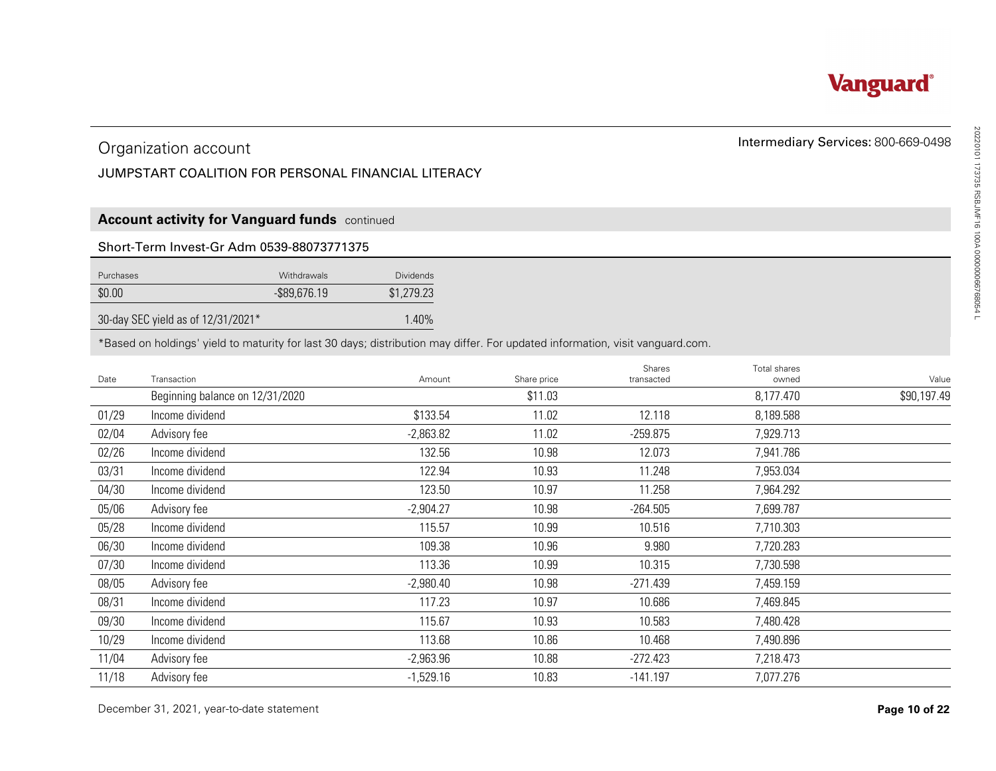#### JUMPSTART COALITION FOR PERSONAL FINANCIAL LITERACY

#### **Account activity for Vanguard funds** continued

#### Short-Term Invest-Gr Adm 0539-88073771375

| Purchases                          | <b>Withdrawals</b> | <b>Dividends</b> |
|------------------------------------|--------------------|------------------|
| \$0.00                             | $-$ \$89.676.19    | \$1,279.23       |
| 30-day SEC yield as of 12/31/2021* |                    | $1.40\%$         |

|                | Organization account                                                                                                          |                            |                        |                          | Intermediary Services: 800-669-0498 |             |
|----------------|-------------------------------------------------------------------------------------------------------------------------------|----------------------------|------------------------|--------------------------|-------------------------------------|-------------|
|                | JUMPSTART COALITION FOR PERSONAL FINANCIAL LITERACY                                                                           |                            |                        |                          |                                     |             |
|                |                                                                                                                               |                            |                        |                          |                                     |             |
|                | <b>Account activity for Vanguard funds</b> continued                                                                          |                            |                        |                          |                                     |             |
|                | Short-Term Invest-Gr Adm 0539-88073771375                                                                                     |                            |                        |                          |                                     |             |
|                |                                                                                                                               |                            |                        |                          |                                     |             |
| Purchases      | Withdrawals                                                                                                                   | <b>Dividends</b>           |                        |                          |                                     |             |
| \$0.00         | $-$ \$89,676.19                                                                                                               | \$1,279.23                 |                        |                          |                                     |             |
|                | 30-day SEC yield as of 12/31/2021*                                                                                            | 1.40%                      |                        |                          |                                     |             |
|                | *Based on holdings' yield to maturity for last 30 days; distribution may differ. For updated information, visit vanguard.com. |                            |                        |                          |                                     |             |
|                |                                                                                                                               |                            |                        | Shares                   | Total shares                        |             |
| Date           | Transaction                                                                                                                   | Amount                     | Share price<br>\$11.03 | transacted               | owned                               | Value       |
|                | Beginning balance on 12/31/2020<br>Income dividend                                                                            |                            | 11.02                  | 12.118                   | 8,177.470                           | \$90,197.49 |
| 01/29          |                                                                                                                               | \$133.54                   | 11.02                  |                          | 8,189.588                           |             |
| 02/04          | Advisory fee<br>Income dividend                                                                                               | $-2,863.82$<br>132.56      |                        | $-259.875$               | 7,929.713                           |             |
| 02/26          |                                                                                                                               |                            | 10.98                  | 12.073                   | 7,941.786                           |             |
| 03/31          | Income dividend                                                                                                               | 122.94                     | 10.93                  | 11.248                   | 7,953.034                           |             |
| 04/30          | Income dividend                                                                                                               | 123.50                     | 10.97                  | 11.258                   | 7,964.292                           |             |
| 05/06          | Advisory fee                                                                                                                  | $-2,904.27$                | 10.98                  | $-264.505$               | 7,699.787                           |             |
| 05/28          | Income dividend                                                                                                               | 115.57                     | 10.99                  | 10.516                   | 7,710.303                           |             |
| 06/30          | Income dividend<br>Income dividend                                                                                            | 109.38<br>113.36           | 10.96                  | 9.980<br>10.315          | 7,720.283                           |             |
| 07/30          |                                                                                                                               |                            | 10.99                  |                          | 7,730.598                           |             |
| 08/05          | Advisory fee                                                                                                                  | $-2,980.40$                | 10.98                  | $-271.439$               | 7,459.159                           |             |
| 08/31          | Income dividend                                                                                                               | 117.23                     | 10.97                  | 10.686                   | 7,469.845                           |             |
| 09/30          | Income dividend                                                                                                               | 115.67                     | 10.93<br>10.86         | 10.583                   | 7,480.428                           |             |
|                |                                                                                                                               |                            |                        | 10.468                   | 7,490.896                           |             |
| 10/29          | Income dividend                                                                                                               | 113.68                     |                        |                          |                                     |             |
| 11/04<br>11/18 | Advisory fee<br>Advisory fee                                                                                                  | $-2,963.96$<br>$-1,529.16$ | 10.88<br>10.83         | $-272.423$<br>$-141.197$ | 7,218.473<br>7,077.276              |             |



# Intermediary Services: 800-669-0498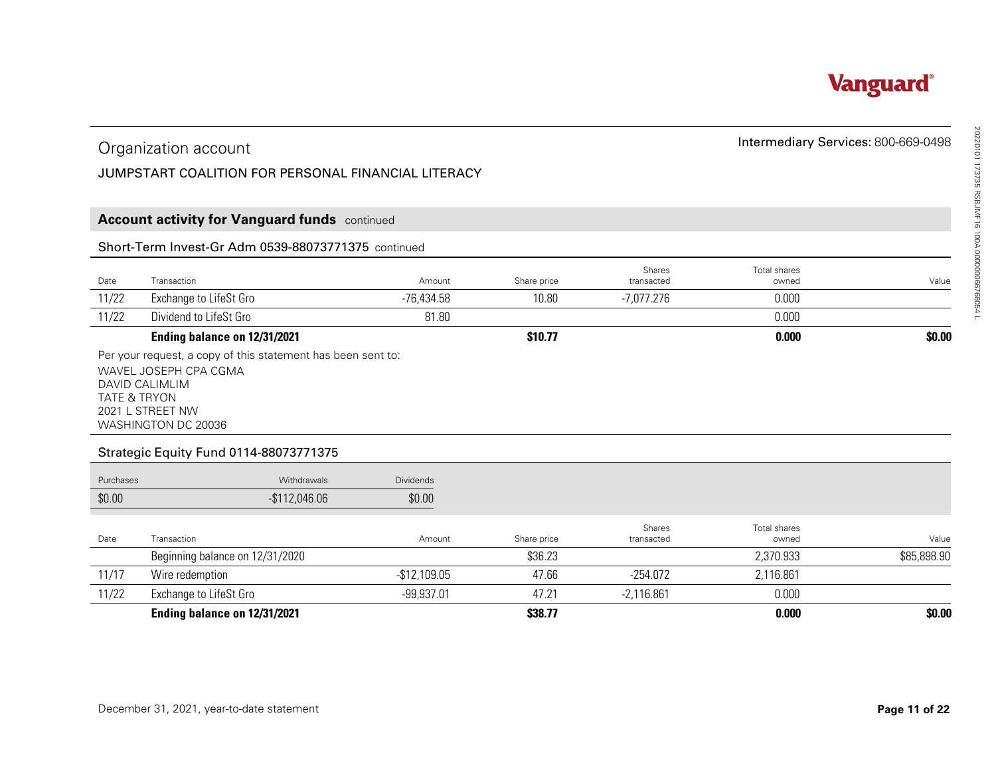

#### JUMPSTART COALITION FOR PERSONAL FINANCIAL LITERACY

#### **Account activity for Vanguard funds** continued

#### Short-Term Invest-Gr Adm 0539-88073771375 continued

|       | Organization account<br>JUMPSTART COALITION FOR PERSONAL FINANCIAL LITERACY                             |            |             |                      | Intermediary Services: 800-669-0498 |        |
|-------|---------------------------------------------------------------------------------------------------------|------------|-------------|----------------------|-------------------------------------|--------|
|       | <b>Account activity for Vanguard funds</b> continued                                                    |            |             |                      |                                     |        |
|       | Short-Term Invest-Gr Adm 0539-88073771375 continued                                                     |            |             |                      |                                     |        |
| Date  | Transaction                                                                                             | Amount     | Share price | Shares<br>transacted | Total shares<br>owned               | Value  |
| 11/22 | Exchange to LifeSt Gro                                                                                  | -76.434.58 | 10.80       | -7,077.276           | 0.000                               |        |
| 11/22 | Dividend to LifeSt Gro                                                                                  | 81.80      |             |                      | 0.000                               |        |
|       | Ending balance on 12/31/2021                                                                            |            | \$10.77     |                      | 0.000                               | \$0.00 |
|       | Per your request, a copy of this statement has been sent to:<br>WAVEL JOSEPH CPA CGMA<br>DAVID CALIMLIM |            |             |                      |                                     |        |

#### Strategic Equity Fund 0114-88073771375

| Organization account                                   |                                                                                                         |                  |             |                      | Intermediary Services: 800-669-0498 |             |  |
|--------------------------------------------------------|---------------------------------------------------------------------------------------------------------|------------------|-------------|----------------------|-------------------------------------|-------------|--|
|                                                        | JUMPSTART COALITION FOR PERSONAL FINANCIAL LITERACY                                                     |                  |             |                      |                                     |             |  |
|                                                        |                                                                                                         |                  |             |                      |                                     |             |  |
|                                                        | <b>Account activity for Vanguard funds</b> continued                                                    |                  |             |                      |                                     |             |  |
|                                                        | Short-Term Invest-Gr Adm 0539-88073771375 continued                                                     |                  |             |                      |                                     |             |  |
| Date                                                   | Transaction                                                                                             | Amount           | Share price | Shares<br>transacted | Total shares<br>owned               | Value       |  |
| 11/22                                                  | Exchange to LifeSt Gro                                                                                  | $-76,434.58$     | 10.80       | $-7,077.276$         | 0.000                               |             |  |
| 11/22                                                  | Dividend to LifeSt Gro                                                                                  | 81.80            |             |                      | 0.000                               |             |  |
|                                                        | Ending balance on 12/31/2021                                                                            |                  | \$10.77     |                      | 0.000                               | \$0.00      |  |
|                                                        | Per your request, a copy of this statement has been sent to:<br>WAVEL JOSEPH CPA CGMA                   |                  |             |                      |                                     |             |  |
| DAVID CALIMLIM<br><b>TATE &amp; TRYON</b><br>Purchases | 2021 L STREET NW<br>WASHINGTON DC 20036<br><b>Strategic Equity Fund 0114-88073771375</b><br>Withdrawals | <b>Dividends</b> |             |                      |                                     |             |  |
| \$0.00                                                 | $-$112,046.06$                                                                                          | \$0.00           |             |                      |                                     |             |  |
| Date                                                   | Transaction                                                                                             | Amount           | Share price | Shares<br>transacted | Total shares<br>owned               |             |  |
|                                                        | Beginning balance on 12/31/2020                                                                         |                  | \$36.23     |                      | 2,370.933                           | \$85,898.90 |  |
| 11/17                                                  | Wire redemption                                                                                         | $-$12,109.05$    | 47.66       | $-254.072$           | 2,116.861                           | Value       |  |
| 11/22                                                  | Exchange to LifeSt Gro                                                                                  | $-99,937.01$     | 47.21       | $-2,116.861$         | 0.000                               |             |  |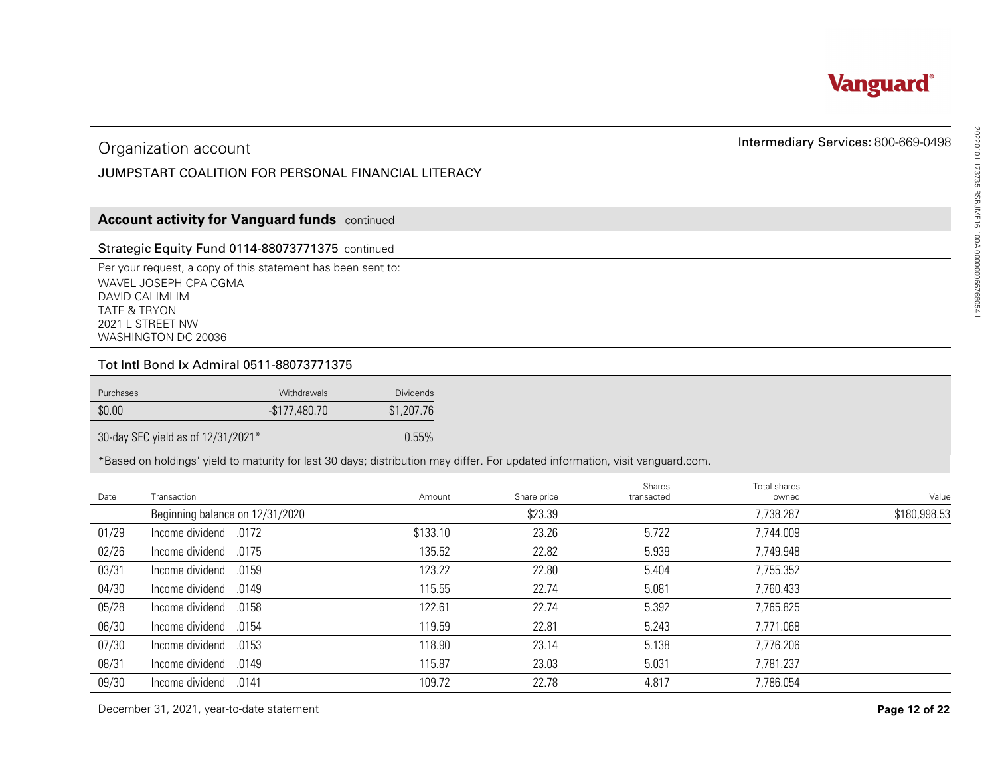

#### JUMPSTART COALITION FOR PERSONAL FINANCIAL LITERACY

#### **Account activity for Vanguard funds** continued

#### Strategic Equity Fund 0114-88073771375 continued

#### Tot Intl Bond Ix Admiral 0511-88073771375

| Purchases                          | <b>Withdrawals</b> | Dividends  |
|------------------------------------|--------------------|------------|
| \$0.00                             | -\$177.480.70      | \$1,207.76 |
| 30-day SEC yield as of 12/31/2021* |                    | 0.55%      |

|           | Organization account                                                                                                                                                          |                  |             |                      | Intermediary Services: 800-669-0498 |                       |
|-----------|-------------------------------------------------------------------------------------------------------------------------------------------------------------------------------|------------------|-------------|----------------------|-------------------------------------|-----------------------|
|           | JUMPSTART COALITION FOR PERSONAL FINANCIAL LITERACY                                                                                                                           |                  |             |                      |                                     |                       |
|           |                                                                                                                                                                               |                  |             |                      |                                     |                       |
|           | <b>Account activity for Vanguard funds</b> continued                                                                                                                          |                  |             |                      |                                     |                       |
|           | Strategic Equity Fund 0114-88073771375 continued                                                                                                                              |                  |             |                      |                                     |                       |
|           | Per your request, a copy of this statement has been sent to:<br>WAVEL JOSEPH CPA CGMA<br>DAVID CALIMLIM<br><b>TATE &amp; TRYON</b><br>2021 L STREET NW<br>WASHINGTON DC 20036 |                  |             |                      |                                     |                       |
|           | Tot Intl Bond Ix Admiral 0511-88073771375                                                                                                                                     |                  |             |                      |                                     |                       |
| Purchases | Withdrawals                                                                                                                                                                   | <b>Dividends</b> |             |                      |                                     |                       |
| \$0.00    | $-$177,480.70$                                                                                                                                                                | \$1,207.76       |             |                      |                                     |                       |
|           | 30-day SEC yield as of 12/31/2021*                                                                                                                                            | 0.55%            |             |                      |                                     |                       |
|           |                                                                                                                                                                               |                  |             |                      |                                     |                       |
|           | *Based on holdings' yield to maturity for last 30 days; distribution may differ. For updated information, visit vanguard.com.                                                 |                  |             |                      |                                     |                       |
| Date      | Transaction                                                                                                                                                                   | Amount           | Share price | Shares<br>transacted | Total shares<br>owned               |                       |
|           | Beginning balance on 12/31/2020                                                                                                                                               |                  | \$23.39     |                      | 7,738.287                           |                       |
| 01/29     | Income dividend<br>.0172                                                                                                                                                      | \$133.10         | 23.26       | 5.722                | 7,744.009                           |                       |
| 02/26     | .0175<br>Income dividend                                                                                                                                                      | 135.52           | 22.82       | 5.939                | 7,749.948                           | Value<br>\$180,998.53 |
| 03/31     | Income dividend<br>.0159                                                                                                                                                      | 123.22           | 22.80       | 5.404                | 7,755.352                           |                       |
| 04/30     | Income dividend<br>.0149                                                                                                                                                      | 115.55           | 22.74       | 5.081                | 7,760.433                           |                       |
| 05/28     | Income dividend<br>.0158                                                                                                                                                      | 122.61           | 22.74       | 5.392                | 7,765.825                           |                       |
| 06/30     | Income dividend<br>.0154                                                                                                                                                      | 119.59           | 22.81       | 5.243                | 7,771.068                           |                       |
| 07/30     | Income dividend<br>.0153                                                                                                                                                      | 118.90           | 23.14       | 5.138                | 7,776.206                           |                       |
| 08/31     | Income dividend<br>.0149                                                                                                                                                      | 115.87           | 23.03       | 5.031                | 7,781.237                           |                       |
| 09/30     | Income dividend<br>.0141                                                                                                                                                      | 109.72           | 22.78       | 4.817                | 7,786.054                           |                       |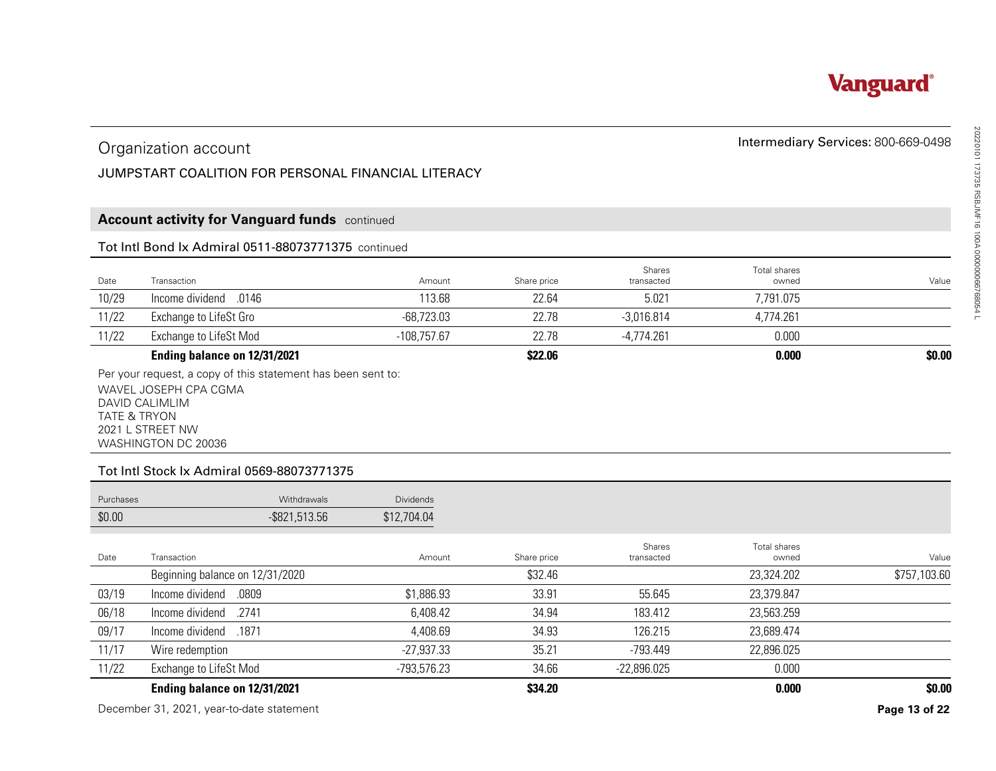

#### JUMPSTART COALITION FOR PERSONAL FINANCIAL LITERACY

#### **Account activity for Vanguard funds** continued

#### Tot Intl Bond Ix Admiral 0511-88073771375 continued

|       | Organization account<br>JUMPSTART COALITION FOR PERSONAL FINANCIAL LITERACY |               |             |                      | Intermediary Services: 800-669-0498 |        |
|-------|-----------------------------------------------------------------------------|---------------|-------------|----------------------|-------------------------------------|--------|
|       | <b>Account activity for Vanguard funds</b> continued                        |               |             |                      |                                     |        |
|       | Tot Intl Bond Ix Admiral 0511-88073771375 continued                         |               |             |                      |                                     |        |
| Date  | Transaction                                                                 | Amount        | Share price | Shares<br>transacted | Total shares<br>owned               | Value  |
| 10/29 | lncome dividend .0146                                                       | 113.68        | 22.64       | 5.021                | 7,791.075                           |        |
| 11/22 | Exchange to LifeSt Gro                                                      | $-68,723.03$  | 22.78       | $-3,016.814$         | 4,774.261                           |        |
| 11/22 | Exchange to LifeSt Mod                                                      | $-108,757.67$ | 22.78       | $-4,774.261$         | 0.000                               |        |
|       | Ending balance on 12/31/2021                                                |               | \$22.06     |                      | 0.000                               | \$0.00 |

#### Tot Intl Stock Ix Admiral 0569-88073771375

| <b>Purchases</b> | <b>Withdrawals</b> | <b>Dividends</b> |
|------------------|--------------------|------------------|
| \$0.00           | $-$ \$821,513.56   | \$12,704.04      |

|                         | Organization account                                                                  |                  |                      |                      |                       | Intermediary Services: 800-669-0498 |
|-------------------------|---------------------------------------------------------------------------------------|------------------|----------------------|----------------------|-----------------------|-------------------------------------|
|                         | JUMPSTART COALITION FOR PERSONAL FINANCIAL LITERACY                                   |                  |                      |                      |                       |                                     |
|                         |                                                                                       |                  |                      |                      |                       |                                     |
|                         | <b>Account activity for Vanguard funds</b> continued                                  |                  |                      |                      |                       |                                     |
|                         | Tot Intl Bond Ix Admiral 0511-88073771375 continued                                   |                  |                      |                      |                       |                                     |
|                         |                                                                                       |                  |                      | Shares               | <b>Total shares</b>   |                                     |
| Date<br>10/29           | Transaction<br>.0146<br>Income dividend                                               | Amount<br>113.68 | Share price<br>22.64 | transacted<br>5.021  | owned<br>7,791.075    | Value                               |
| 11/22                   | Exchange to LifeSt Gro                                                                | $-68,723.03$     | 22.78                | $-3,016.814$         | 4,774.261             |                                     |
| 11/22                   | <b>Exchange to LifeSt Mod</b>                                                         | $-108,757.67$    | 22.78                | $-4,774.261$         | 0.000                 |                                     |
|                         | Ending balance on 12/31/2021                                                          |                  | \$22.06              |                      | 0.000                 | \$0.00                              |
| <b>TATE &amp; TRYON</b> | 2021 L STREET NW<br>WASHINGTON DC 20036<br>Tot Intl Stock Ix Admiral 0569-88073771375 |                  |                      |                      |                       |                                     |
| Purchases               | Withdrawals                                                                           | Dividends        |                      |                      |                       |                                     |
| \$0.00                  | $-$ \$821,513.56                                                                      | \$12,704.04      |                      |                      |                       |                                     |
| Date                    | Transaction                                                                           | Amount           | Share price          | Shares<br>transacted | Total shares<br>owned | Value                               |
|                         | Beginning balance on 12/31/2020                                                       |                  | \$32.46              |                      | 23,324.202            | \$757,103.60                        |
| 03/19                   | Income dividend<br>.0809                                                              | \$1,886.93       | 33.91                | 55.645               | 23,379.847            |                                     |
| 06/18                   | Income dividend<br>.2741                                                              | 6,408.42         | 34.94                | 183.412              | 23,563.259            |                                     |
| 09/17                   | Income dividend<br>.1871                                                              | 4,408.69         | 34.93                | 126.215              | 23,689.474            |                                     |
| 11/17                   | Wire redemption                                                                       | $-27,937.33$     | 35.21                | $-793.449$           | 22,896.025            |                                     |
| 11/22                   | Exchange to LifeSt Mod                                                                | -793,576.23      | 34.66                | $-22,896.025$        | 0.000                 |                                     |
|                         | Ending balance on 12/31/2021                                                          |                  | \$34.20              |                      | 0.000                 | \$0.00                              |
|                         | December 31, 2021, year-to-date statement                                             |                  |                      |                      |                       | Page 13 of 22                       |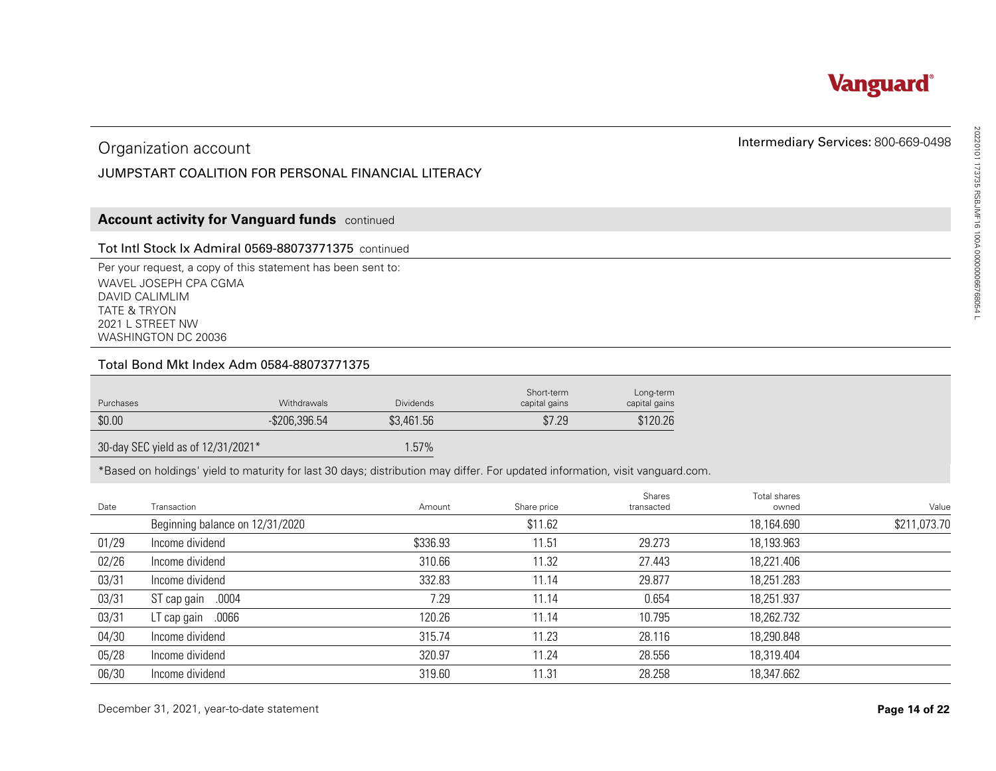

#### JUMPSTART COALITION FOR PERSONAL FINANCIAL LITERACY

#### **Account activity for Vanguard funds** continued

#### Tot Intl Stock Ix Admiral 0569-88073771375 continued

#### Total Bond Mkt Index Adm 0584-88073771375

| Purchases | <b>Withdrawals</b> | <b>Dividends</b> | Short-term<br>capital gains | Long-term<br>capital gains |
|-----------|--------------------|------------------|-----------------------------|----------------------------|
| \$0.00    | $-$ \$206,396.54   | \$3,461.56       | \$7.29                      | \$120.26                   |

|                         | Organization account                                                                                                                               | Intermediary Services: 800-669-0498 |                  |                             |                            |                       |                       |
|-------------------------|----------------------------------------------------------------------------------------------------------------------------------------------------|-------------------------------------|------------------|-----------------------------|----------------------------|-----------------------|-----------------------|
|                         | JUMPSTART COALITION FOR PERSONAL FINANCIAL LITERACY                                                                                                |                                     |                  |                             |                            |                       |                       |
|                         |                                                                                                                                                    |                                     |                  |                             |                            |                       |                       |
|                         | <b>Account activity for Vanguard funds</b> continued                                                                                               |                                     |                  |                             |                            |                       |                       |
|                         | Tot Intl Stock Ix Admiral 0569-88073771375 continued                                                                                               |                                     |                  |                             |                            |                       |                       |
| <b>TATE &amp; TRYON</b> | Per your request, a copy of this statement has been sent to:<br>WAVEL JOSEPH CPA CGMA<br>DAVID CALIMLIM<br>2021 L STREET NW<br>WASHINGTON DC 20036 |                                     |                  |                             |                            |                       |                       |
|                         | Total Bond Mkt Index Adm 0584-88073771375                                                                                                          |                                     |                  |                             |                            |                       |                       |
| Purchases               |                                                                                                                                                    | Withdrawals                         | <b>Dividends</b> | Short-term<br>capital gains | Long-term<br>capital gains |                       |                       |
| \$0.00                  |                                                                                                                                                    | $-$ \$206,396.54                    | \$3,461.56       | \$7.29                      | \$120.26                   |                       |                       |
|                         |                                                                                                                                                    |                                     |                  |                             |                            |                       |                       |
|                         | 30-day SEC yield as of 12/31/2021*                                                                                                                 |                                     | 1.57%            |                             |                            |                       |                       |
|                         | *Based on holdings' yield to maturity for last 30 days; distribution may differ. For updated information, visit vanguard.com.                      |                                     |                  |                             |                            |                       |                       |
| Date                    | Transaction                                                                                                                                        |                                     | Amount           | Share price                 | Shares<br>transacted       | Total shares<br>owned |                       |
|                         | Beginning balance on 12/31/2020                                                                                                                    |                                     |                  | \$11.62                     |                            | 18,164.690            |                       |
| 01/29                   | Income dividend                                                                                                                                    |                                     | \$336.93         | 11.51                       | 29.273                     | 18,193.963            |                       |
| 02/26                   | Income dividend                                                                                                                                    |                                     | 310.66           | 11.32                       | 27.443                     | 18,221.406            |                       |
| 03/31                   | Income dividend                                                                                                                                    |                                     | 332.83           | 11.14                       | 29.877                     | 18,251.283            |                       |
| 03/31                   | ST cap gain .0004                                                                                                                                  |                                     | 7.29             | 11.14                       | 0.654                      | 18,251.937            |                       |
| 03/31                   | LT cap gain .0066                                                                                                                                  |                                     | 120.26           | 11.14                       | 10.795                     | 18,262.732            |                       |
| 04/30                   | Income dividend                                                                                                                                    |                                     | 315.74           | 11.23                       | 28.116                     | 18,290.848            |                       |
| 05/28                   | Income dividend                                                                                                                                    |                                     | 320.97           | 11.24                       | 28.556                     | 18,319.404            | Value<br>\$211,073.70 |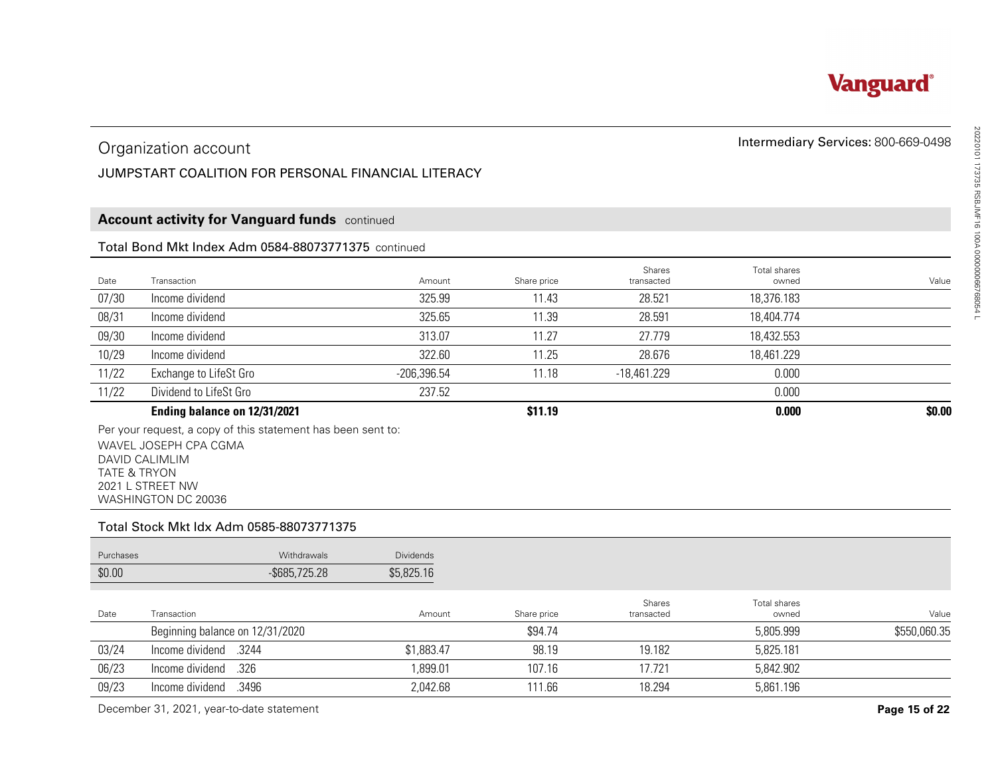

#### Organization account

#### JUMPSTART COALITION FOR PERSONAL FINANCIAL LITERACY

#### **Account activity for Vanguard funds** continued

#### Total Bond Mkt Index Adm 0584-88073771375 continued

|       | Organization account<br>JUMPSTART COALITION FOR PERSONAL FINANCIAL LITERACY |               |             |                      | Intermediary Services: 800-669-0498 |        |
|-------|-----------------------------------------------------------------------------|---------------|-------------|----------------------|-------------------------------------|--------|
|       | <b>Account activity for Vanguard funds</b> continued                        |               |             |                      |                                     |        |
|       | Total Bond Mkt Index Adm 0584-88073771375 continued                         |               |             |                      |                                     |        |
| Date  | Transaction                                                                 | Amount        | Share price | Shares<br>transacted | Total shares<br>owned               | Value  |
| 07/30 | Income dividend                                                             | 325.99        | 11.43       | 28.521               | 18,376.183                          |        |
| 08/31 | Income dividend                                                             | 325.65        | 11.39       | 28.591               | 18,404.774                          |        |
| 09/30 | Income dividend                                                             | 313.07        | 11.27       | 27.779               | 18,432.553                          |        |
| 10/29 | Income dividend                                                             | 322.60        | 11.25       | 28.676               | 18,461.229                          |        |
| 11/22 | Exchange to LifeSt Gro                                                      | $-206,396.54$ | 11.18       | $-18,461.229$        | 0.000                               |        |
| 11/22 | Dividend to LifeSt Gro                                                      | 237.52        |             |                      | 0.000                               |        |
|       | Ending balance on 12/31/2021                                                |               | \$11.19     |                      | 0.000                               | \$0.00 |

#### Total Stock Mkt Idx Adm 0585-88073771375

|                         | Organization account                                                                                                                               | Intermediary Services: 800-669-0498 |                      |                      |                       |               |
|-------------------------|----------------------------------------------------------------------------------------------------------------------------------------------------|-------------------------------------|----------------------|----------------------|-----------------------|---------------|
|                         | JUMPSTART COALITION FOR PERSONAL FINANCIAL LITERACY                                                                                                |                                     |                      |                      |                       |               |
|                         |                                                                                                                                                    |                                     |                      |                      |                       |               |
|                         | <b>Account activity for Vanguard funds</b> continued                                                                                               |                                     |                      |                      |                       |               |
|                         | Total Bond Mkt Index Adm 0584-88073771375 continued                                                                                                |                                     |                      |                      |                       |               |
| Date                    | Transaction                                                                                                                                        | Amount                              |                      | Shares<br>transacted | Total shares<br>owned | Value         |
| 07/30                   | Income dividend                                                                                                                                    | 325.99                              | Share price<br>11.43 | 28.521               | 18,376.183            |               |
| 08/31                   | Income dividend                                                                                                                                    | 325.65                              | 11.39                | 28.591               | 18,404.774            |               |
| 09/30                   | Income dividend                                                                                                                                    | 313.07                              | 11.27                | 27.779               | 18,432.553            |               |
| 10/29                   | Income dividend                                                                                                                                    | 322.60                              | 11.25                | 28.676               | 18,461.229            |               |
| 11/22                   | Exchange to LifeSt Gro                                                                                                                             | $-206,396.54$                       | 11.18                | $-18,461.229$        | 0.000                 |               |
| 11/22                   | Dividend to LifeSt Gro                                                                                                                             | 237.52                              |                      |                      | 0.000                 |               |
|                         | Ending balance on 12/31/2021                                                                                                                       |                                     | \$11.19              |                      | 0.000                 | \$0.00        |
| <b>TATE &amp; TRYON</b> | Per your request, a copy of this statement has been sent to:<br>WAVEL JOSEPH CPA CGMA<br>DAVID CALIMLIM<br>2021 L STREET NW<br>WASHINGTON DC 20036 |                                     |                      |                      |                       |               |
|                         | Total Stock Mkt Idx Adm 0585-88073771375                                                                                                           |                                     |                      |                      |                       |               |
| Purchases               | Withdrawals                                                                                                                                        | <b>Dividends</b>                    |                      |                      |                       |               |
| \$0.00                  | $-$ \$685,725.28                                                                                                                                   | \$5,825.16                          |                      |                      |                       |               |
| Date                    | Transaction                                                                                                                                        | Amount                              | Share price          | Shares<br>transacted | Total shares<br>owned | Value         |
|                         | Beginning balance on 12/31/2020                                                                                                                    |                                     | \$94.74              |                      | 5,805.999             | \$550,060.35  |
| 03/24                   | Income dividend<br>.3244                                                                                                                           | \$1,883.47                          | 98.19                | 19.182               | 5,825.181             |               |
| 06/23                   | .326<br>Income dividend                                                                                                                            | 1,899.01                            | 107.16               | 17.721               | 5,842.902             |               |
| 09/23                   | Income dividend<br>.3496                                                                                                                           | 2,042.68                            | 111.66               | 18.294               | 5,861.196             |               |
|                         | December 31, 2021, year-to-date statement                                                                                                          |                                     |                      |                      |                       | Page 15 of 22 |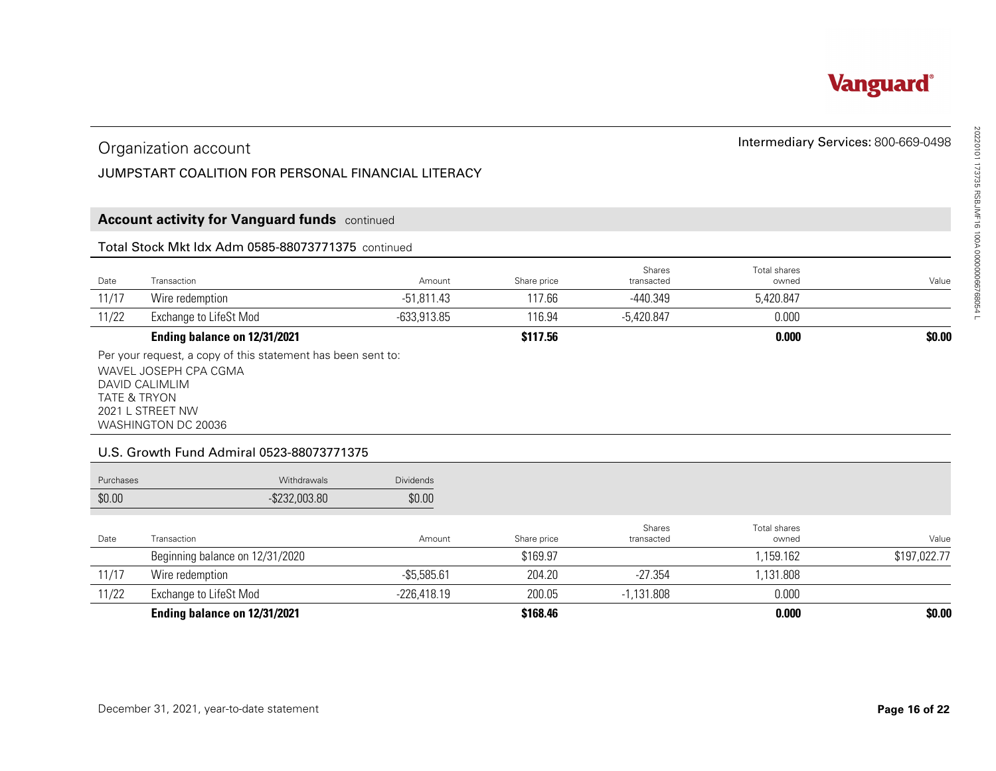

#### JUMPSTART COALITION FOR PERSONAL FINANCIAL LITERACY

#### **Account activity for Vanguard funds** continued

#### Total Stock Mkt Idx Adm 0585-88073771375 continued

|       | Organization account<br>JUMPSTART COALITION FOR PERSONAL FINANCIAL LITERACY |               |             |                             | Intermediary Services: 800-669-0498 |        |  |  |  |  |  |
|-------|-----------------------------------------------------------------------------|---------------|-------------|-----------------------------|-------------------------------------|--------|--|--|--|--|--|
|       | <b>Account activity for Vanguard funds</b> continued                        |               |             |                             |                                     |        |  |  |  |  |  |
|       | Total Stock Mkt Idx Adm 0585-88073771375 continued                          |               |             |                             |                                     |        |  |  |  |  |  |
| Date  | Transaction                                                                 | Amount        | Share price | <b>Shares</b><br>transacted | Total shares<br>owned               | Value  |  |  |  |  |  |
| 11/17 | Wire redemption                                                             | $-51,811.43$  | 117.66      | -440.349                    | 5,420.847                           |        |  |  |  |  |  |
| 11/22 | Exchange to LifeSt Mod                                                      | $-633,913.85$ | 116.94      | -5,420.847                  | 0.000                               |        |  |  |  |  |  |
|       | Ending balance on 12/31/2021                                                |               | \$117.56    |                             | 0.000                               | \$0.00 |  |  |  |  |  |
|       | Per your request a copy of this statement has been sent to:                 |               |             |                             |                                     |        |  |  |  |  |  |

#### U.S. Growth Fund Admiral 0523-88073771375

|                                           | Organization account                                                                  |                            | Intermediary Services: 800-669-0498 |                      |                       |                       |
|-------------------------------------------|---------------------------------------------------------------------------------------|----------------------------|-------------------------------------|----------------------|-----------------------|-----------------------|
|                                           | JUMPSTART COALITION FOR PERSONAL FINANCIAL LITERACY                                   |                            |                                     |                      |                       |                       |
|                                           |                                                                                       |                            |                                     |                      |                       |                       |
|                                           | <b>Account activity for Vanguard funds</b> continued                                  |                            |                                     |                      |                       |                       |
|                                           | Total Stock Mkt Idx Adm 0585-88073771375 continued                                    |                            |                                     |                      |                       |                       |
| Date                                      | Transaction                                                                           | Amount                     | Share price                         | Shares<br>transacted | Total shares<br>owned | Value                 |
| 11/17                                     | Wire redemption                                                                       | $-51,811.43$               | 117.66                              | $-440.349$           | 5,420.847             |                       |
| 11/22                                     | Exchange to LifeSt Mod                                                                | $-633,913.85$              | 116.94                              | $-5,420.847$         | 0.000                 |                       |
|                                           | Ending balance on 12/31/2021                                                          |                            |                                     |                      |                       |                       |
| DAVID CALIMLIM<br><b>TATE &amp; TRYON</b> | Per your request, a copy of this statement has been sent to:<br>WAVEL JOSEPH CPA CGMA |                            | \$117.56                            |                      | 0.000                 | \$0.00                |
|                                           | 2021 L STREET NW<br>WASHINGTON DC 20036<br>U.S. Growth Fund Admiral 0523-88073771375  |                            |                                     |                      |                       |                       |
| Purchases<br>\$0.00                       | Withdrawals<br>$-$ \$232,003.80                                                       | <b>Dividends</b><br>\$0.00 |                                     |                      |                       |                       |
| Date                                      | Transaction                                                                           | Amount                     | Share price                         | Shares<br>transacted | Total shares<br>owned |                       |
|                                           | Beginning balance on 12/31/2020                                                       |                            | \$169.97                            |                      | 1,159.162             | Value<br>\$197,022.77 |
| 11/17                                     | Wire redemption                                                                       | $-$5,585.61$               | 204.20                              | $-27.354$            | 1,131.808             |                       |
| 11/22                                     | <b>Exchange to LifeSt Mod</b>                                                         | $-226,418.19$              | 200.05                              | $-1,131.808$         | 0.000                 |                       |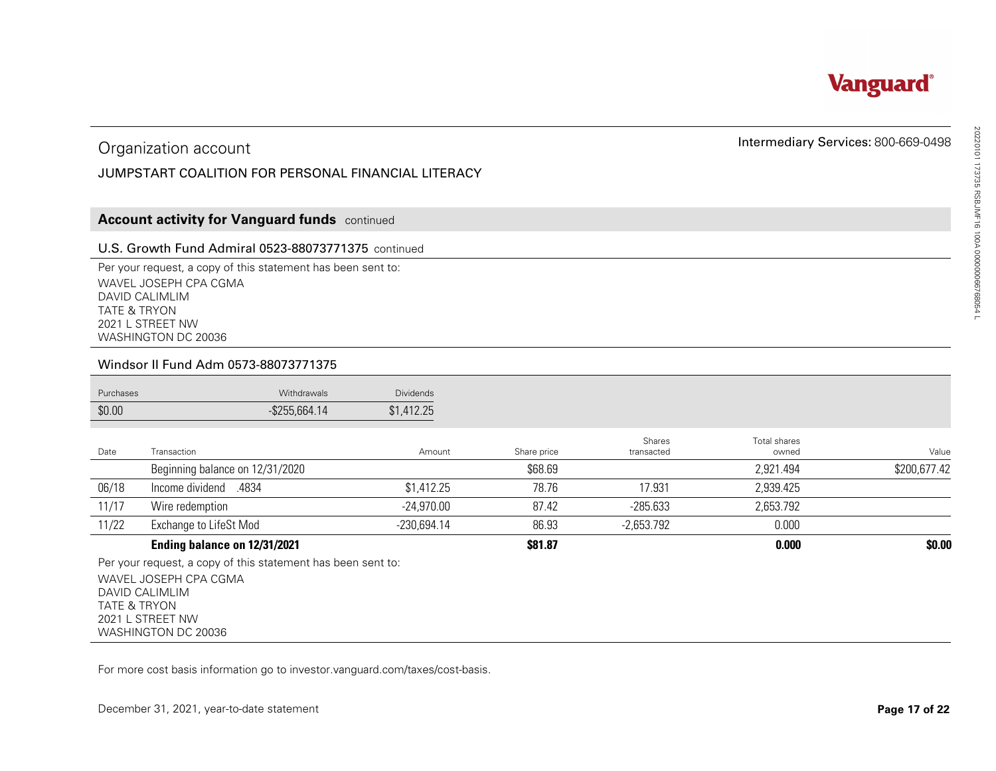

#### JUMPSTART COALITION FOR PERSONAL FINANCIAL LITERACY

#### **Account activity for Vanguard funds** continued

#### U.S. Growth Fund Admiral 0523-88073771375 continued

#### Windsor II Fund Adm 0573-88073771375

| <b>Purchases</b> | <b>Withdrawals</b> | <b>Dividends</b> |
|------------------|--------------------|------------------|
| \$0.00           | $-$ \$255,664.14   | \$1,412.25       |

|                         | Organization account                                                                                                                               |               |             |                      |                       | Intermediary Services: 800-669-0498 |
|-------------------------|----------------------------------------------------------------------------------------------------------------------------------------------------|---------------|-------------|----------------------|-----------------------|-------------------------------------|
|                         | JUMPSTART COALITION FOR PERSONAL FINANCIAL LITERACY                                                                                                |               |             |                      |                       |                                     |
|                         |                                                                                                                                                    |               |             |                      |                       |                                     |
|                         | <b>Account activity for Vanguard funds</b> continued                                                                                               |               |             |                      |                       |                                     |
|                         | U.S. Growth Fund Admiral 0523-88073771375 continued                                                                                                |               |             |                      |                       |                                     |
| <b>TATE &amp; TRYON</b> | Per your request, a copy of this statement has been sent to:<br>WAVEL JOSEPH CPA CGMA<br>DAVID CALIMLIM<br>2021 L STREET NW<br>WASHINGTON DC 20036 |               |             |                      |                       |                                     |
|                         | Windsor II Fund Adm 0573-88073771375                                                                                                               |               |             |                      |                       |                                     |
| Purchases               | Withdrawals                                                                                                                                        | Dividends     |             |                      |                       |                                     |
| \$0.00                  | $-$ \$255,664.14                                                                                                                                   | \$1,412.25    |             |                      |                       |                                     |
| Date                    | Transaction                                                                                                                                        | Amount        | Share price | Shares<br>transacted | Total shares<br>owned | Value                               |
|                         | Beginning balance on 12/31/2020                                                                                                                    |               | \$68.69     |                      | 2,921.494             | \$200,677.42                        |
| 06/18                   | Income dividend<br>.4834                                                                                                                           | \$1,412.25    | 78.76       | 17.931               | 2,939.425             |                                     |
| 11/17                   | Wire redemption                                                                                                                                    | $-24,970.00$  | 87.42       | $-285.633$           | 2,653.792             |                                     |
| 11/22                   | Exchange to LifeSt Mod                                                                                                                             | $-230,694.14$ | 86.93       | $-2,653.792$         | 0.000                 |                                     |
|                         | Ending balance on 12/31/2021                                                                                                                       |               | \$81.87     |                      | 0.000                 | \$0.00                              |
| <b>TATE &amp; TRYON</b> | Per your request, a copy of this statement has been sent to:<br>WAVEL JOSEPH CPA CGMA<br>DAVID CALIMLIM<br>2021 L STREET NW<br>WASHINGTON DC 20036 |               |             |                      |                       |                                     |
|                         | For more cost basis information go to investor vanguard com/taxes/cost-basis.                                                                      |               |             |                      |                       |                                     |
|                         | December 31, 2021, year-to-date statement                                                                                                          |               |             |                      |                       | Page 17 of 22                       |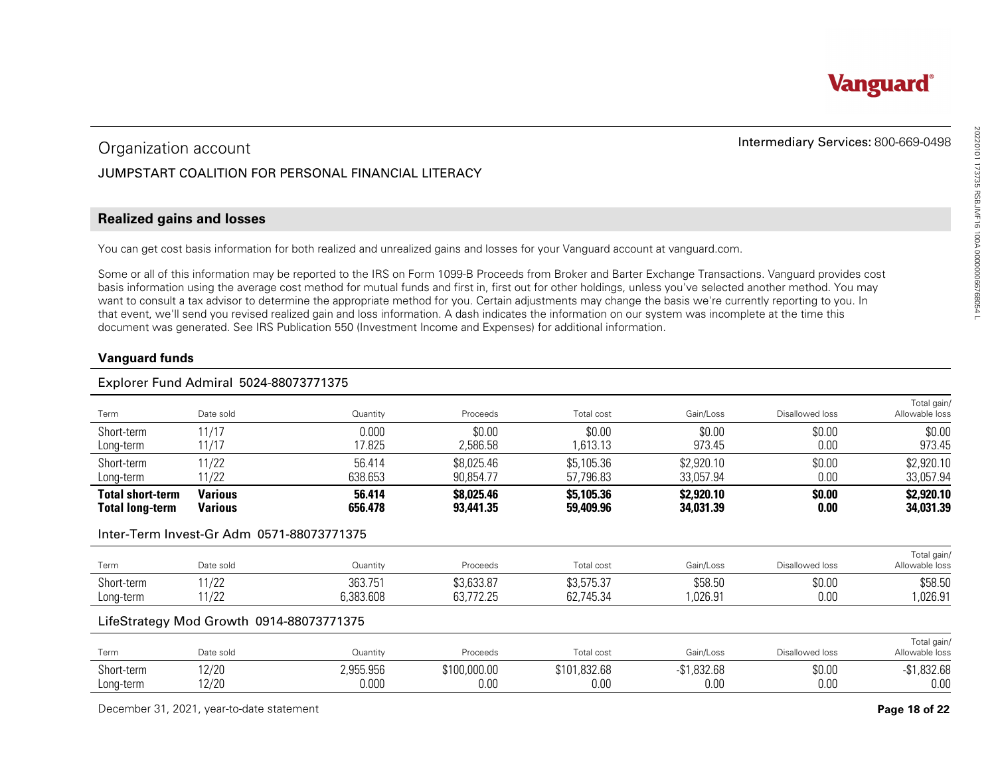#### JUMPSTART COALITION FOR PERSONAL FINANCIAL LITERACY

#### **Realized gains and losses**

#### **Vanguard funds**

#### Explorer Fund Admiral 5024-88073771375

| Organization account                              |                                           |                                                                                                                                                                                                                                                                                                                                                                                                                                                                                                                                                                                                                                                                                                                                                             | Intermediary Services: 800-669-0498 |                         |                         |                 |                               |
|---------------------------------------------------|-------------------------------------------|-------------------------------------------------------------------------------------------------------------------------------------------------------------------------------------------------------------------------------------------------------------------------------------------------------------------------------------------------------------------------------------------------------------------------------------------------------------------------------------------------------------------------------------------------------------------------------------------------------------------------------------------------------------------------------------------------------------------------------------------------------------|-------------------------------------|-------------------------|-------------------------|-----------------|-------------------------------|
|                                                   |                                           | JUMPSTART COALITION FOR PERSONAL FINANCIAL LITERACY                                                                                                                                                                                                                                                                                                                                                                                                                                                                                                                                                                                                                                                                                                         |                                     |                         |                         |                 |                               |
| <b>Realized gains and losses</b>                  |                                           |                                                                                                                                                                                                                                                                                                                                                                                                                                                                                                                                                                                                                                                                                                                                                             |                                     |                         |                         |                 |                               |
|                                                   |                                           | You can get cost basis information for both realized and unrealized gains and losses for your Vanguard account at vanguard.com.                                                                                                                                                                                                                                                                                                                                                                                                                                                                                                                                                                                                                             |                                     |                         |                         |                 |                               |
| <b>Vanguard funds</b>                             |                                           | Some or all of this information may be reported to the IRS on Form 1099-B Proceeds from Broker and Barter Exchange Transactions. Vanguard provides cost<br>basis information using the average cost method for mutual funds and first in, first out for other holdings, unless you've selected another method. You may<br>want to consult a tax advisor to determine the appropriate method for you. Certain adjustments may change the basis we're currently reporting to you. In<br>that event, we'll send you revised realized gain and loss information. A dash indicates the information on our system was incomplete at the time this<br>document was generated. See IRS Publication 550 (Investment Income and Expenses) for additional information. |                                     |                         |                         |                 |                               |
|                                                   | Explorer Fund Admiral 5024-88073771375    |                                                                                                                                                                                                                                                                                                                                                                                                                                                                                                                                                                                                                                                                                                                                                             |                                     |                         |                         |                 |                               |
| Term                                              | Date sold                                 | Quantity                                                                                                                                                                                                                                                                                                                                                                                                                                                                                                                                                                                                                                                                                                                                                    | Proceeds                            | Total cost              | Gain/Loss               | Disallowed loss | Total gain/<br>Allowable loss |
| Short-term<br>Long-term                           | 11/17<br>11/17                            | 0.000<br>17.825                                                                                                                                                                                                                                                                                                                                                                                                                                                                                                                                                                                                                                                                                                                                             | \$0.00<br>2,586.58                  | \$0.00<br>1,613.13      | \$0.00<br>973.45        | \$0.00<br>0.00  | \$0.00<br>973.45              |
| Short-term<br>Long-term                           | 11/22<br>11/22                            | 56.414<br>638.653                                                                                                                                                                                                                                                                                                                                                                                                                                                                                                                                                                                                                                                                                                                                           | \$8,025.46<br>90,854.77             | \$5,105.36<br>57,796.83 | \$2,920.10<br>33,057.94 | \$0.00<br>0.00  | \$2,920.10<br>33,057.94       |
| <b>Total short-term</b><br><b>Total long-term</b> | <b>Various</b><br><b>Various</b>          | 56.414<br>656.478                                                                                                                                                                                                                                                                                                                                                                                                                                                                                                                                                                                                                                                                                                                                           | \$8,025.46<br>93,441.35             | \$5,105.36<br>59,409.96 | \$2,920.10<br>34,031.39 | \$0.00<br>0.00  | \$2,920.10<br>34,031.39       |
|                                                   | Inter-Term Invest-Gr Adm 0571-88073771375 |                                                                                                                                                                                                                                                                                                                                                                                                                                                                                                                                                                                                                                                                                                                                                             |                                     |                         |                         |                 |                               |
| <b>Term</b>                                       | Date sold                                 | Quantity                                                                                                                                                                                                                                                                                                                                                                                                                                                                                                                                                                                                                                                                                                                                                    | Proceeds                            | Total cost              | Gain/Loss               | Disallowed loss | Total gain/<br>Allowable loss |
| Short-term<br>Long-term                           | 11/22<br>11/22                            | 363.751<br>6,383.608                                                                                                                                                                                                                                                                                                                                                                                                                                                                                                                                                                                                                                                                                                                                        | \$3,633.87<br>63,772.25             | \$3,575.37<br>62,745.34 | \$58.50<br>1,026.91     | \$0.00<br>0.00  | \$58.50<br>1,026.91           |
|                                                   | LifeStrategy Mod Growth 0914-88073771375  |                                                                                                                                                                                                                                                                                                                                                                                                                                                                                                                                                                                                                                                                                                                                                             |                                     |                         |                         |                 |                               |
| Term                                              | Date sold                                 | Quantity                                                                                                                                                                                                                                                                                                                                                                                                                                                                                                                                                                                                                                                                                                                                                    | Proceeds                            | Total cost              | Gain/Loss               | Disallowed loss | Total gain/<br>Allowable loss |
| Short-term<br>Long-term                           | 12/20<br>12/20                            | 2,955.956<br>0.000                                                                                                                                                                                                                                                                                                                                                                                                                                                                                                                                                                                                                                                                                                                                          | \$100,000.00<br>0.00                | \$101,832.68<br>0.00    | $-$1,832.68$<br>0.00    | \$0.00<br>0.00  | $-$1,832.68$<br>0.00          |
|                                                   | December 31, 2021, year-to-date statement |                                                                                                                                                                                                                                                                                                                                                                                                                                                                                                                                                                                                                                                                                                                                                             |                                     |                         |                         |                 | Page 18 of 22                 |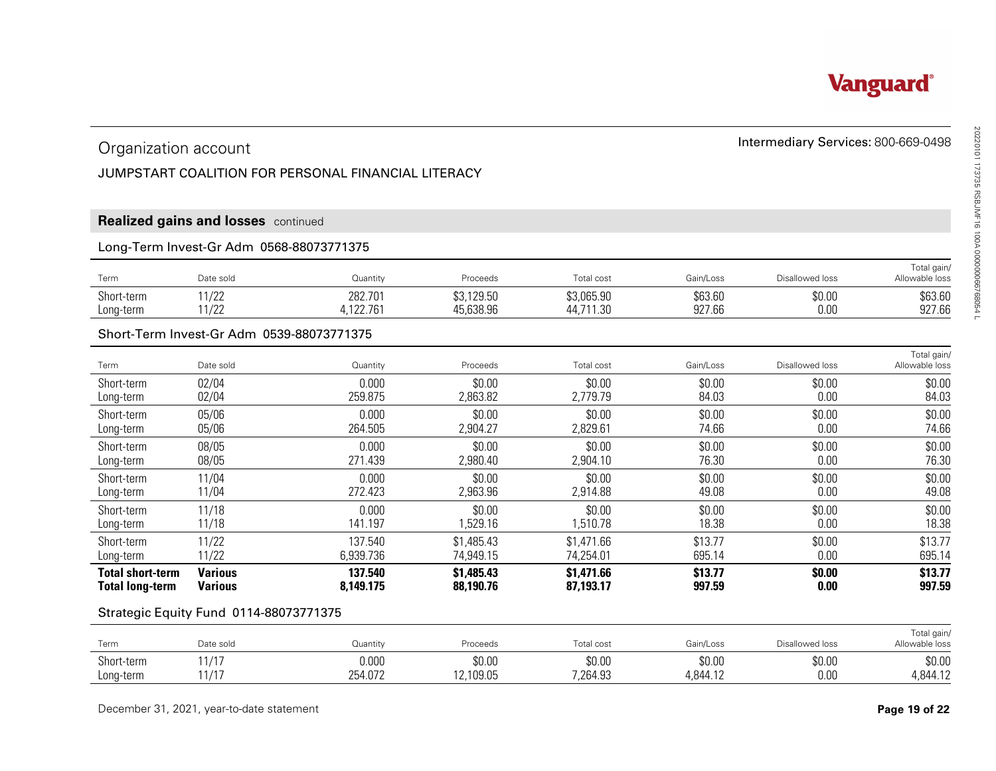#### JUMPSTART COALITION FOR PERSONAL FINANCIAL LITERACY

#### **Realized gains and losses** continued

#### Long-Term Invest-Gr Adm 0568-88073771375

| $-$<br>Term | Date sold                   | Quantity           | Proceeds   | Total cost         | Gain/Loss | Disallowed loss | <b>Total gain</b><br>Allowable loss |  |
|-------------|-----------------------------|--------------------|------------|--------------------|-----------|-----------------|-------------------------------------|--|
| Short-term  | 11 $100$<br>17 L L<br>11/22 | 282.701<br>122.761 | \$3,129.50 | \$3,065.90         | \$63.60   | \$0.00          | \$63.60                             |  |
| Long-term   | 17 L L                      |                    | 15,638.96  | 44,711.3P<br>טט. ו | 927.66    | 0.00            | 927.66                              |  |

#### Short-Term Invest-Gr Adm 0539-88073771375

|                                                        | Intermediary Services: 800-669-0498<br>Organization account |                                                     |                         |                         |                    |                 |                               |  |  |
|--------------------------------------------------------|-------------------------------------------------------------|-----------------------------------------------------|-------------------------|-------------------------|--------------------|-----------------|-------------------------------|--|--|
|                                                        |                                                             | JUMPSTART COALITION FOR PERSONAL FINANCIAL LITERACY |                         |                         |                    |                 |                               |  |  |
|                                                        |                                                             |                                                     |                         |                         |                    |                 |                               |  |  |
| Realized gains and losses continued                    |                                                             |                                                     |                         |                         |                    |                 |                               |  |  |
| Long-Term Invest-Gr Adm 0568-88073771375               |                                                             |                                                     |                         |                         |                    |                 |                               |  |  |
| Term                                                   | Date sold                                                   | Quantity                                            | Proceeds                | Total cost              | Gain/Loss          | Disallowed loss | Total gain/<br>Allowable loss |  |  |
| Short-term                                             | 11/22<br>11/22                                              | 282.701<br>4,122.761                                | \$3,129.50<br>45,638.96 | \$3,065.90<br>44,711.30 | \$63.60<br>927.66  | \$0.00<br>0.00  | \$63.60<br>927.66             |  |  |
| Long-term<br>Short-Term Invest-Gr Adm 0539-88073771375 |                                                             |                                                     |                         |                         |                    |                 |                               |  |  |
|                                                        |                                                             |                                                     |                         |                         |                    |                 | Total gain/                   |  |  |
| Term                                                   | Date sold                                                   | Quantity                                            | Proceeds                | Total cost              | Gain/Loss          | Disallowed loss | Allowable loss                |  |  |
| Short-term<br>Long-term                                | 02/04<br>02/04                                              | 0.000<br>259.875                                    | \$0.00<br>2,863.82      | \$0.00<br>2,779.79      | \$0.00<br>84.03    | \$0.00<br>0.00  | \$0.00<br>84.03               |  |  |
| Short-term                                             | 05/06                                                       | 0.000                                               | \$0.00                  | \$0.00                  | \$0.00             | \$0.00          | \$0.00                        |  |  |
| Long-term                                              | 05/06                                                       | 264.505                                             | 2,904.27                | 2,829.61                | 74.66              | 0.00            | 74.66                         |  |  |
| Short-term<br>Long-term                                | 08/05<br>08/05                                              | 0.000<br>271.439                                    | \$0.00<br>2,980.40      | \$0.00<br>2,904.10      | \$0.00<br>76.30    | \$0.00<br>0.00  | \$0.00<br>76.30               |  |  |
| Short-term                                             | 11/04                                                       | 0.000                                               | \$0.00                  | \$0.00                  | \$0.00             | \$0.00          | \$0.00                        |  |  |
| Long-term                                              | 11/04                                                       | 272.423                                             | 2,963.96                | 2,914.88                | 49.08              | 0.00            | 49.08                         |  |  |
| Short-term<br>Long-term                                | 11/18<br>11/18                                              | 0.000<br>141.197                                    | \$0.00<br>1,529.16      | \$0.00<br>1,510.78      | \$0.00<br>18.38    | \$0.00<br>0.00  | \$0.00<br>18.38               |  |  |
| Short-term                                             | 11/22                                                       | 137.540                                             | \$1,485.43              | \$1,471.66              | \$13.77            | \$0.00          | \$13.77                       |  |  |
| Long-term                                              | 11/22                                                       | 6,939.736                                           | 74,949.15               | 74,254.01               | 695.14             | 0.00            | 695.14                        |  |  |
| <b>Total short-term</b><br><b>Total long-term</b>      | <b>Various</b><br><b>Various</b>                            | 137.540<br>8,149.175                                | \$1,485.43<br>88,190.76 | \$1,471.66<br>87,193.17 | \$13.77<br>997.59  | \$0.00<br>0.00  | \$13.77<br>997.59             |  |  |
| Strategic Equity Fund 0114-88073771375                 |                                                             |                                                     |                         |                         |                    |                 |                               |  |  |
| Term                                                   | Date sold                                                   | Quantity                                            | Proceeds                | Total cost              | Gain/Loss          | Disallowed loss | Total gain/<br>Allowable loss |  |  |
| Short-term                                             | 11/17<br>11/17                                              | 0.000<br>254.072                                    | \$0.00<br>12,109.05     | \$0.00<br>7,264.93      | \$0.00<br>4,844.12 | \$0.00<br>0.00  | \$0.00<br>4,844.12            |  |  |
| Long-term<br>December 31, 2021, year-to-date statement |                                                             |                                                     |                         |                         |                    |                 | Page 19 of 22                 |  |  |

| Term                    | Date sold             | Quantity         | Proceeds            | Total cost         | Gain/Loss          | Disallowed loss | Total gain/<br>Allowable loss |
|-------------------------|-----------------------|------------------|---------------------|--------------------|--------------------|-----------------|-------------------------------|
| Short-term<br>Long-term | $111 -$<br>.<br>14/17 | 0.000<br>254.072 | \$0.00<br>12,109.05 | \$0.00<br>7,264.93 | \$0.00<br>4,844.12 | \$0.00<br>0.00  | \$0.00<br>4,844.12            |

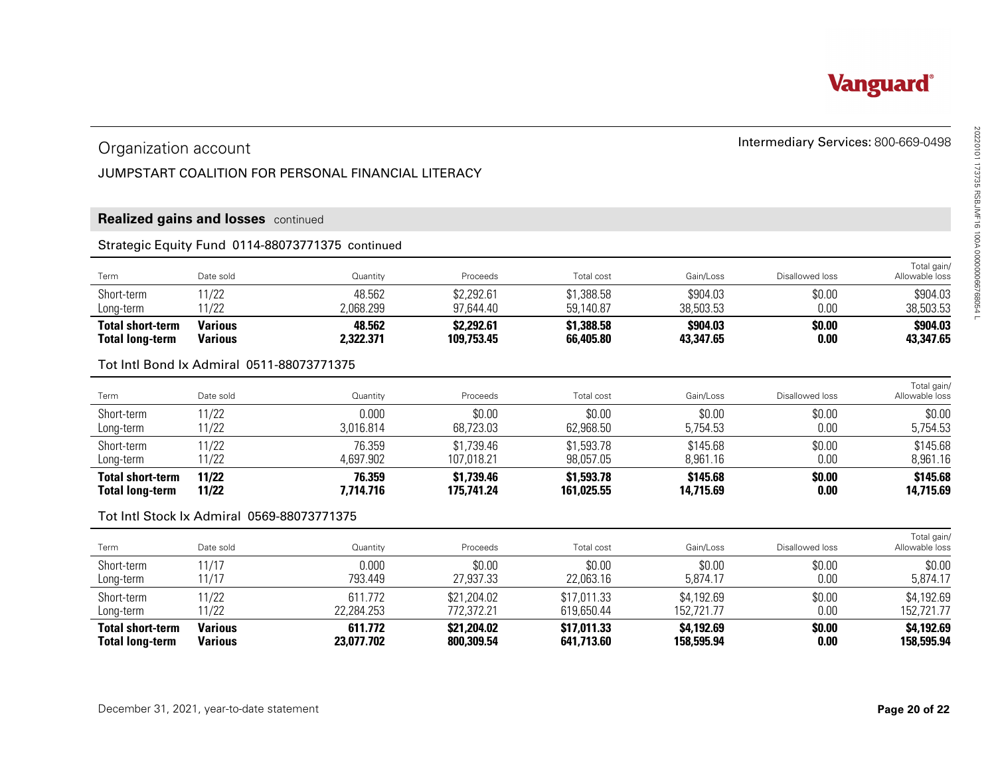

# Intermediary Services: 800-669-0498 Organization account

#### JUMPSTART COALITION FOR PERSONAL FINANCIAL LITERACY

#### **Realized gains and losses** continued

#### Strategic Equity Fund 0114-88073771375 continued

| Long-term<br><b>Total short-term</b> | 11/22<br><b>Various</b> | ?,068.299<br>48.562 | 97,644.40<br>\$2,292.61 | 59,140.87<br>\$1,388.58 | 38,503.53<br>\$904.03 | 0.00<br>\$0.00  | 38,503.53<br>\$904.03         |  |
|--------------------------------------|-------------------------|---------------------|-------------------------|-------------------------|-----------------------|-----------------|-------------------------------|--|
| Short-term                           | 11/22                   | 48.562              | \$2,292.61              | \$1,388.58              | \$904.03              | \$0.00          | \$904.03                      |  |
| Term                                 | Date sold               | Quantity            | Proceeds                | <b>Total cost</b>       | Gain/Loss             | Disallowed loss | Total gain/<br>Allowable loss |  |

#### Tot Intl Bond Ix Admiral 0511-88073771375

| <b>Total short-term</b><br><b>Total long-term</b> | 11/22<br>11/22 | 76.359<br>7.714.716 | \$1,739.46<br>175.741.24 | \$1,593.78<br>161.025.55 | \$145.68<br>14,715.69 | \$0.00<br>0.00  | \$145.68<br>14,715.69         |
|---------------------------------------------------|----------------|---------------------|--------------------------|--------------------------|-----------------------|-----------------|-------------------------------|
| Long-term                                         | 11/22          | 4,697.902           | 107,018.21               | 98,057.05                | 8.961.16              | $0.00\,$        | 8,961.16                      |
| Short-term                                        | 11/22          | 76.359              | \$1,739.46               | \$1,593.78               | \$145.68              | \$0.00          | \$145.68                      |
| Long-term                                         | 11/22          | 3,016.814           | 68,723.03                | 62,968.50                | 5,754.53              | 0.00            | 5,754.53                      |
| Short-term                                        | 11/22          | 0.000               | \$0.00                   | \$0.00                   | \$0.00                | \$0.00          | \$0.00                        |
| Term                                              | Date sold      | Quantity            | Proceeds                 | Total cost               | Gain/Loss             | Disallowed loss | Total gain/<br>Allowable loss |

#### Tot Intl Stock Ix Admiral 0569-88073771375

| Organization account                              |                                            |                                                     |                           |                           |                          | Intermediary Services: 800-669-0498 |                               |
|---------------------------------------------------|--------------------------------------------|-----------------------------------------------------|---------------------------|---------------------------|--------------------------|-------------------------------------|-------------------------------|
|                                                   |                                            | JUMPSTART COALITION FOR PERSONAL FINANCIAL LITERACY |                           |                           |                          |                                     |                               |
|                                                   | <b>Realized gains and losses</b> continued |                                                     |                           |                           |                          |                                     |                               |
|                                                   |                                            | Strategic Equity Fund 0114-88073771375 continued    |                           |                           |                          |                                     |                               |
| Term                                              | Date sold                                  | Quantity                                            | Proceeds                  | Total cost                | Gain/Loss                | Disallowed loss                     | Total gain/<br>Allowable loss |
| Short-term<br>Long-term                           | 11/22<br>11/22                             | 48.562<br>2,068.299                                 | \$2,292.61<br>97,644.40   | \$1,388.58<br>59,140.87   | \$904.03<br>38,503.53    | \$0.00<br>0.00                      | \$904.03<br>38,503.53         |
| <b>Total short-term</b><br><b>Total long-term</b> | <b>Various</b><br><b>Various</b>           | 48.562<br>2,322.371                                 | \$2,292.61<br>109,753.45  | \$1,388.58<br>66,405.80   | \$904.03<br>43,347.65    | \$0.00<br>0.00                      | \$904.03<br>43,347.65         |
|                                                   | Tot Intl Bond Ix Admiral 0511-88073771375  |                                                     |                           |                           |                          |                                     |                               |
| Term                                              | Date sold                                  | Quantity                                            | Proceeds                  | Total cost                | Gain/Loss                | Disallowed loss                     | Total gain/<br>Allowable loss |
| Short-term<br>Long-term                           | 11/22<br>11/22                             | 0.000<br>3,016.814                                  | \$0.00<br>68,723.03       | \$0.00<br>62,968.50       | \$0.00<br>5,754.53       | \$0.00<br>0.00                      | \$0.00<br>5,754.53            |
| Short-term<br>Long-term                           | 11/22<br>11/22                             | 76.359<br>4,697.902                                 | \$1,739.46<br>107,018.21  | \$1,593.78<br>98,057.05   | \$145.68<br>8,961.16     | \$0.00<br>0.00                      | \$145.68<br>8,961.16          |
| <b>Total short-term</b><br><b>Total long-term</b> | 11/22<br>11/22                             | 76.359<br>7,714.716                                 | \$1,739.46<br>175,741.24  | \$1,593.78<br>161,025.55  | \$145.68<br>14,715.69    | \$0.00<br>0.00                      | \$145.68<br>14,715.69         |
|                                                   | Tot Intl Stock Ix Admiral 0569-88073771375 |                                                     |                           |                           |                          |                                     |                               |
| Term                                              | Date sold                                  | Quantity                                            | Proceeds                  | Total cost                | Gain/Loss                | Disallowed loss                     | Total gain/<br>Allowable loss |
| Short-term<br>Long-term                           | 11/17<br>11/17                             | 0.000<br>793.449                                    | \$0.00<br>27,937.33       | \$0.00<br>22,063.16       | \$0.00<br>5,874.17       | \$0.00<br>0.00                      | \$0.00<br>5,874.17            |
| Short-term<br>Long-term                           | 11/22<br>11/22                             | 611.772<br>22,284.253                               | \$21,204.02<br>772,372.21 | \$17,011.33<br>619,650.44 | \$4,192.69<br>152,721.77 | \$0.00<br>0.00                      | \$4,192.69<br>152,721.77      |
| <b>Total short-term</b><br><b>Total long-term</b> | <b>Various</b><br><b>Various</b>           | 611.772<br>23,077.702                               | \$21,204.02<br>800,309.54 | \$17,011.33<br>641,713.60 | \$4,192.69<br>158,595.94 | \$0.00<br>0.00                      | \$4,192.69<br>158,595.94      |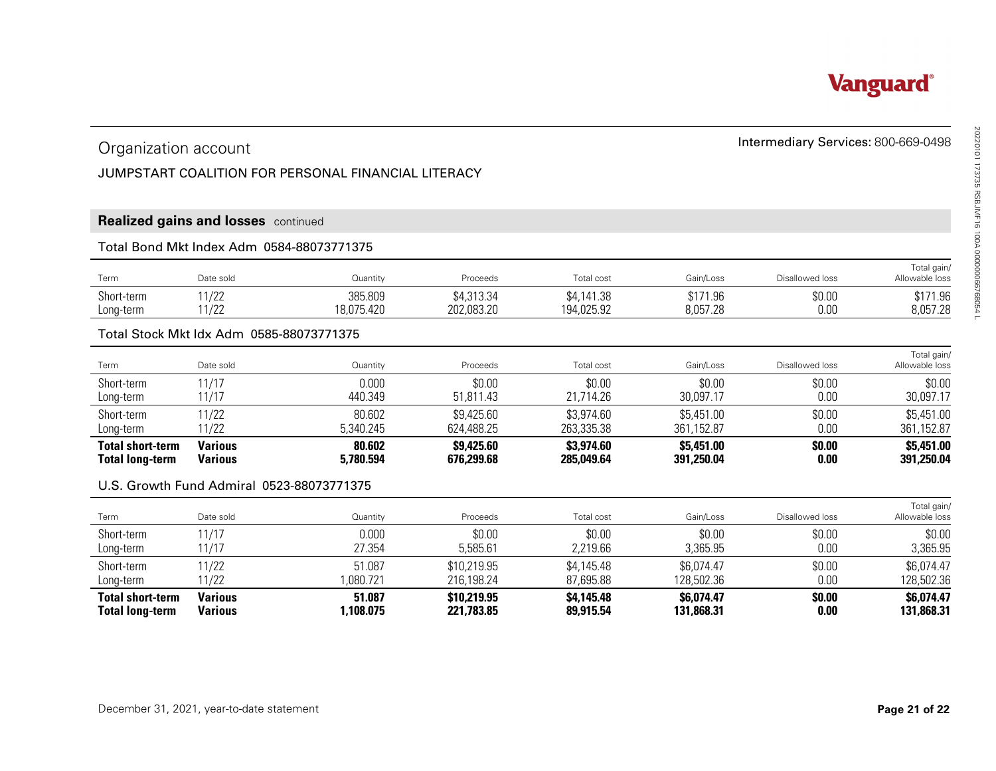# Intermediary Services: 800-669-0498 Organization account

#### JUMPSTART COALITION FOR PERSONAL FINANCIAL LITERACY

#### **Realized gains and losses** continued

#### Total Bond Mkt Index Adm 0584-88073771375

| $\sim$ $\sim$ $\sim$<br>Term | Date sold                      | Quantity              | Proceeds                 | Total cost               | Gain/Loss            | Disallowed loss | Total gain,<br>Allowable loss             |  |
|------------------------------|--------------------------------|-----------------------|--------------------------|--------------------------|----------------------|-----------------|-------------------------------------------|--|
| Short-term<br>Long-term      | 11 $100$<br>17 L L<br>11 $100$ | 385.809<br>18,075.420 | \$4,313.34<br>202,083.20 | \$4,141.38<br>194,025.92 | \$171.96<br>8,057.28 | \$0.00<br>0.00  | <b>\$171 QG</b><br>J I / I.YD<br>8,057.28 |  |
|                              | 1/LL                           |                       |                          |                          |                      |                 |                                           |  |

#### Total Stock Mkt Idx Adm 0585-88073771375

| Organization account                              |                                           |                                                     |                           |                          |                          | Intermediary Services: 800-669-0498 |                               |
|---------------------------------------------------|-------------------------------------------|-----------------------------------------------------|---------------------------|--------------------------|--------------------------|-------------------------------------|-------------------------------|
|                                                   |                                           | JUMPSTART COALITION FOR PERSONAL FINANCIAL LITERACY |                           |                          |                          |                                     |                               |
|                                                   |                                           |                                                     |                           |                          |                          |                                     |                               |
|                                                   | Realized gains and losses continued       |                                                     |                           |                          |                          |                                     |                               |
|                                                   | Total Bond Mkt Index Adm 0584-88073771375 |                                                     |                           |                          |                          |                                     |                               |
| Term                                              | Date sold                                 | Quantity                                            | Proceeds                  | Total cost               | Gain/Loss                | Disallowed loss                     | Total gain/<br>Allowable loss |
| Short-term                                        | 11/22                                     | 385.809                                             | \$4,313.34                | \$4,141.38               | \$171.96                 | \$0.00                              | \$171.96                      |
| Long-term                                         | 11/22                                     | 18,075.420                                          | 202,083.20                | 194,025.92               | 8,057.28                 | 0.00                                | 8,057.28                      |
|                                                   | Total Stock Mkt Idx Adm 0585-88073771375  |                                                     |                           |                          |                          |                                     |                               |
| Term                                              | Date sold                                 | Quantity                                            | Proceeds                  | Total cost               | Gain/Loss                | Disallowed loss                     | Total gain/<br>Allowable loss |
| Short-term<br>Long-term                           | 11/17<br>11/17                            | 0.000<br>440.349                                    | \$0.00<br>51,811.43       | \$0.00<br>21,714.26      | \$0.00<br>30,097.17      | \$0.00<br>0.00                      | \$0.00<br>30,097.17           |
| Short-term<br>Long-term                           | 11/22<br>11/22                            | 80.602<br>5,340.245                                 | \$9,425.60<br>624,488.25  | \$3,974.60<br>263,335.38 | \$5,451.00<br>361,152.87 | \$0.00<br>0.00                      | \$5,451.00<br>361,152.87      |
| <b>Total short-term</b><br><b>Total long-term</b> | <b>Various</b><br><b>Various</b>          | 80.602<br>5,780.594                                 | \$9,425.60<br>676,299.68  | \$3,974.60<br>285,049.64 | \$5,451.00<br>391,250.04 | \$0.00<br>0.00                      | \$5,451.00<br>391,250.04      |
|                                                   | U.S. Growth Fund Admiral 0523-88073771375 |                                                     |                           |                          |                          |                                     |                               |
| Term                                              | Date sold                                 | Quantity                                            | Proceeds                  | Total cost               | Gain/Loss                | Disallowed loss                     | Total gain/<br>Allowable loss |
| Short-term<br>Long-term                           | 11/17<br>11/17                            | 0.000<br>27.354                                     | \$0.00<br>5,585.61        | \$0.00<br>2,219.66       | \$0.00<br>3,365.95       | \$0.00<br>0.00                      | \$0.00<br>3,365.95            |
| Short-term                                        | 11/22<br>11/22                            | 51.087<br>1,080.721                                 | \$10,219.95<br>216,198.24 | \$4,145.48<br>87,695.88  | \$6,074.47<br>128,502.36 | \$0.00<br>0.00                      | \$6,074.47<br>128,502.36      |
| Long-term                                         | <b>Various</b>                            | 51.087                                              | \$10,219.95               | \$4,145.48               | \$6,074.47               | \$0.00                              | \$6,074.47                    |

#### U.S. Growth Fund Admiral 0523-88073771375

| Term                                              | Date sold                        | Quantity           | Proceeds                  | Total cost              | Gain/Loss                | Disallowed loss | Total gain/<br>Allowable loss |
|---------------------------------------------------|----------------------------------|--------------------|---------------------------|-------------------------|--------------------------|-----------------|-------------------------------|
| Short-term                                        | 11/17                            | 0.000              | \$0.00                    | \$0.00                  | \$0.00                   | \$0.00          | \$0.00                        |
| Long-term                                         | 11/17                            | 27.354             | 5,585.61                  | 2,219.66                | 3,365.95                 | 0.00            | 3,365.95                      |
| Short-term                                        | 11/22                            | 51.087             | \$10,219.95               | \$4,145.48              | \$6,074.47               | \$0.00          | \$6,074.47                    |
| Long-term                                         | 11/22                            | ,080.721           | 216,198.24                | 87.695.88               | 128,502.36               | 0.00            | 128,502.36                    |
| <b>Total short-term</b><br><b>Total long-term</b> | <b>Various</b><br><b>Various</b> | 51.087<br>.108.075 | \$10,219.95<br>221.783.85 | \$4,145.48<br>89.915.54 | \$6,074.47<br>131,868.31 | \$0.00<br>0.00  | \$6,074.47<br>131,868,31      |